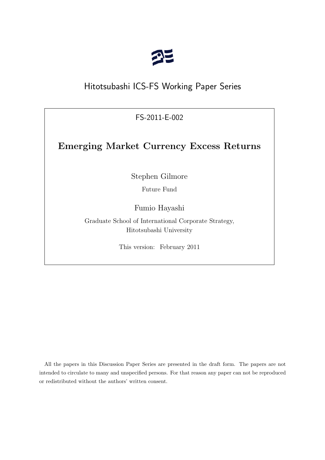

# Hitotsubashi ICS-FS Working Paper Series

FS-2011-E-002

# **Emerging Market Currency Excess Returns**

Stephen Gilmore

Future Fund

Fumio Hayashi

Graduate School of International Corporate Strategy, Hitotsubashi University

This version: February 2011

All the papers in this Discussion Paper Series are presented in the draft form. The papers are not intended to circulate to many and unspecified persons. For that reason any paper can not be reproduced or redistributed without the authors' written consent.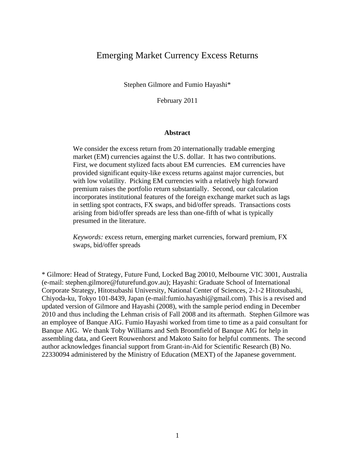# Emerging Market Currency Excess Returns

Stephen Gilmore and Fumio Hayashi\*

February 2011

### **Abstract**

We consider the excess return from 20 internationally tradable emerging market (EM) currencies against the U.S. dollar. It has two contributions. First, we document stylized facts about EM currencies. EM currencies have provided significant equity-like excess returns against major currencies, but with low volatility. Picking EM currencies with a relatively high forward premium raises the portfolio return substantially. Second, our calculation incorporates institutional features of the foreign exchange market such as lags in settling spot contracts, FX swaps, and bid/offer spreads. Transactions costs arising from bid/offer spreads are less than one-fifth of what is typically presumed in the literature.

*Keywords:* excess return, emerging market currencies, forward premium, FX swaps, bid/offer spreads

\* Gilmore: Head of Strategy, Future Fund, Locked Bag 20010, Melbourne VIC 3001, Australia (e-mail: stephen.gilmore@futurefund.gov.au); Hayashi: Graduate School of International Corporate Strategy, Hitotsubashi University, National Center of Sciences, 2-1-2 Hitotsubashi, Chiyoda-ku, Tokyo 101-8439, Japan (e-mail:fumio.hayashi@gmail.com). This is a revised and updated version of Gilmore and Hayashi (2008), with the sample period ending in December 2010 and thus including the Lehman crisis of Fall 2008 and its aftermath. Stephen Gilmore was an employee of Banque AIG. Fumio Hayashi worked from time to time as a paid consultant for Banque AIG. We thank Toby Williams and Seth Broomfield of Banque AIG for help in assembling data, and Geert Rouwenhorst and Makoto Saito for helpful comments. The second author acknowledges financial support from Grant-in-Aid for Scientific Research (B) No. 22330094 administered by the Ministry of Education (MEXT) of the Japanese government.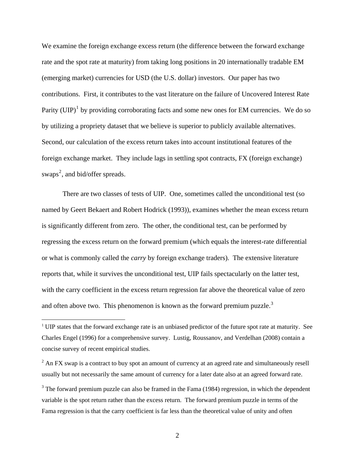We examine the foreign exchange excess return (the difference between the forward exchange rate and the spot rate at maturity) from taking long positions in 20 internationally tradable EM (emerging market) currencies for USD (the U.S. dollar) investors. Our paper has two contributions. First, it contributes to the vast literature on the failure of Uncovered Interest Rate Parity ( $\text{UIP}$ )<sup>[1](#page-2-0)</sup> by providing corroborating facts and some new ones for EM currencies. We do so by utilizing a propriety dataset that we believe is superior to publicly available alternatives. Second, our calculation of the excess return takes into account institutional features of the foreign exchange market. They include lags in settling spot contracts, FX (foreign exchange) swaps<sup>[2](#page-2-1)</sup>, and bid/offer spreads.

 There are two classes of tests of UIP. One, sometimes called the unconditional test (so named by Geert Bekaert and Robert Hodrick (1993)), examines whether the mean excess return is significantly different from zero. The other, the conditional test, can be performed by regressing the excess return on the forward premium (which equals the interest-rate differential or what is commonly called the *carry* by foreign exchange traders). The extensive literature reports that, while it survives the unconditional test, UIP fails spectacularly on the latter test, with the carry coefficient in the excess return regression far above the theoretical value of zero and often above two. This phenomenon is known as the forward premium puzzle.<sup>[3](#page-2-2)</sup>

<u>.</u>

<span id="page-2-0"></span><sup>&</sup>lt;sup>1</sup> UIP states that the forward exchange rate is an unbiased predictor of the future spot rate at maturity. See Charles Engel (1996) for a comprehensive survey. Lustig, Roussanov, and Verdelhan (2008) contain a concise survey of recent empirical studies.

<span id="page-2-1"></span> $2$  An FX swap is a contract to buy spot an amount of currency at an agreed rate and simultaneously resell usually but not necessarily the same amount of currency for a later date also at an agreed forward rate.

<span id="page-2-2"></span> $3$  The forward premium puzzle can also be framed in the Fama (1984) regression, in which the dependent variable is the spot return rather than the excess return. The forward premium puzzle in terms of the Fama regression is that the carry coefficient is far less than the theoretical value of unity and often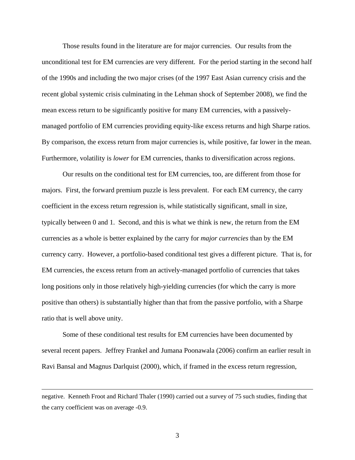Those results found in the literature are for major currencies. Our results from the unconditional test for EM currencies are very different. For the period starting in the second half of the 1990s and including the two major crises (of the 1997 East Asian currency crisis and the recent global systemic crisis culminating in the Lehman shock of September 2008), we find the mean excess return to be significantly positive for many EM currencies, with a passivelymanaged portfolio of EM currencies providing equity-like excess returns and high Sharpe ratios. By comparison, the excess return from major currencies is, while positive, far lower in the mean. Furthermore, volatility is *lower* for EM currencies, thanks to diversification across regions.

 Our results on the conditional test for EM currencies, too, are different from those for majors. First, the forward premium puzzle is less prevalent. For each EM currency, the carry coefficient in the excess return regression is, while statistically significant, small in size, typically between 0 and 1. Second, and this is what we think is new, the return from the EM currencies as a whole is better explained by the carry for *major currencies* than by the EM currency carry. However, a portfolio-based conditional test gives a different picture. That is, for EM currencies, the excess return from an actively-managed portfolio of currencies that takes long positions only in those relatively high-yielding currencies (for which the carry is more positive than others) is substantially higher than that from the passive portfolio, with a Sharpe ratio that is well above unity.

Some of these conditional test results for EM currencies have been documented by several recent papers. Jeffrey Frankel and Jumana Poonawala (2006) confirm an earlier result in Ravi Bansal and Magnus Darlquist (2000), which, if framed in the excess return regression,

 $\overline{a}$ 

negative. Kenneth Froot and Richard Thaler (1990) carried out a survey of 75 such studies, finding that the carry coefficient was on average -0.9.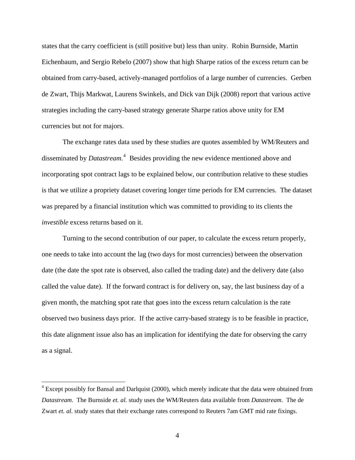states that the carry coefficient is (still positive but) less than unity. Robin Burnside, Martin Eichenbaum, and Sergio Rebelo (2007) show that high Sharpe ratios of the excess return can be obtained from carry-based, actively-managed portfolios of a large number of currencies. Gerben de Zwart, Thijs Markwat, Laurens Swinkels, and Dick van Dijk (2008) report that various active strategies including the carry-based strategy generate Sharpe ratios above unity for EM currencies but not for majors.

The exchange rates data used by these studies are quotes assembled by WM/Reuters and disseminated by *Datastream*.<sup>[4](#page-4-0)</sup> Besides providing the new evidence mentioned above and incorporating spot contract lags to be explained below, our contribution relative to these studies is that we utilize a propriety dataset covering longer time periods for EM currencies. The dataset was prepared by a financial institution which was committed to providing to its clients the *investible* excess returns based on it.

Turning to the second contribution of our paper, to calculate the excess return properly, one needs to take into account the lag (two days for most currencies) between the observation date (the date the spot rate is observed, also called the trading date) and the delivery date (also called the value date). If the forward contract is for delivery on, say, the last business day of a given month, the matching spot rate that goes into the excess return calculation is the rate observed two business days prior. If the active carry-based strategy is to be feasible in practice, this date alignment issue also has an implication for identifying the date for observing the carry as a signal.

<span id="page-4-0"></span><sup>&</sup>lt;sup>4</sup> Except possibly for Bansal and Darlquist (2000), which merely indicate that the data were obtained from *Datastream*. The Burnside *et. al.* study uses the WM/Reuters data available from *Datastream*. The de Zwart *et. al.* study states that their exchange rates correspond to Reuters 7am GMT mid rate fixings.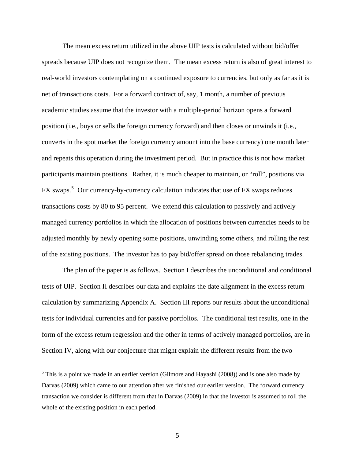The mean excess return utilized in the above UIP tests is calculated without bid/offer spreads because UIP does not recognize them. The mean excess return is also of great interest to real-world investors contemplating on a continued exposure to currencies, but only as far as it is net of transactions costs. For a forward contract of, say, 1 month, a number of previous academic studies assume that the investor with a multiple-period horizon opens a forward position (i.e., buys or sells the foreign currency forward) and then closes or unwinds it (i.e., converts in the spot market the foreign currency amount into the base currency) one month later and repeats this operation during the investment period. But in practice this is not how market participants maintain positions. Rather, it is much cheaper to maintain, or "roll", positions via  $FX$  swaps.<sup>[5](#page-5-0)</sup> Our currency-by-currency calculation indicates that use of  $FX$  swaps reduces transactions costs by 80 to 95 percent. We extend this calculation to passively and actively managed currency portfolios in which the allocation of positions between currencies needs to be adjusted monthly by newly opening some positions, unwinding some others, and rolling the rest of the existing positions. The investor has to pay bid/offer spread on those rebalancing trades.

 The plan of the paper is as follows. Section I describes the unconditional and conditional tests of UIP. Section II describes our data and explains the date alignment in the excess return calculation by summarizing Appendix A. Section III reports our results about the unconditional tests for individual currencies and for passive portfolios. The conditional test results, one in the form of the excess return regression and the other in terms of actively managed portfolios, are in Section IV, along with our conjecture that might explain the different results from the two

<span id="page-5-0"></span> $<sup>5</sup>$  This is a point we made in an earlier version (Gilmore and Hayashi (2008)) and is one also made by</sup> Darvas (2009) which came to our attention after we finished our earlier version. The forward currency transaction we consider is different from that in Darvas (2009) in that the investor is assumed to roll the whole of the existing position in each period.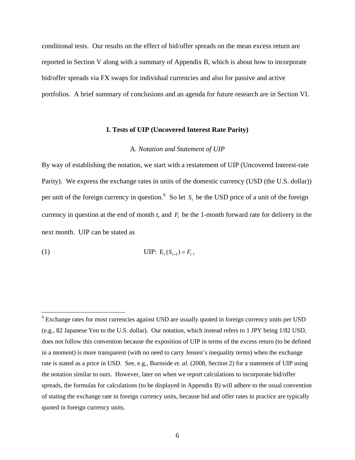conditional tests. Our results on the effect of bid/offer spreads on the mean excess return are reported in Section V along with a summary of Appendix B, which is about how to incorporate bid/offer spreads via FX swaps for individual currencies and also for passive and active portfolios. A brief summary of conclusions and an agenda for future research are in Section VI.

### **I. Tests of UIP (Uncovered Interest Rate Parity)**

### A*. Notation and Statement of UIP*

By way of establishing the notation, we start with a restatement of UIP (Uncovered Interest-rate Parity). We express the exchange rates in units of the domestic currency (USD (the U.S. dollar)) per unit of the foreign currency in question.<sup>[6](#page-6-0)</sup> So let  $S_t$  be the USD price of a unit of the foreign currency in question at the end of month  $t$ , and  $F_t$  be the 1-month forward rate for delivery in the next month. UIP can be stated as

(1) 
$$
UIP: E_t(S_{t+1}) = F_t
$$
,

<span id="page-6-0"></span><sup>&</sup>lt;sup>6</sup> Exchange rates for most currencies against USD are usually quoted in foreign currency units per USD (e.g., 82 Japanese Yen to the U.S. dollar). Our notation, which instead refers to 1 JPY being 1/82 USD, does not follow this convention because the exposition of UIP in terms of the excess return (to be defined in a moment) is more transparent (with no need to carry Jensen's inequality terms) when the exchange rate is stated as a price in USD. See, e.g., Burnside *et. al.* (2008, Section 2) for a statement of UIP using the notation similar to ours. However, later on when we report calculations to incorporate bid/offer spreads, the formulas for calculations (to be displayed in Appendix B) will adhere to the usual convention of stating the exchange rate in foreign currency units, because bid and offer rates in practice are typically quoted in foreign currency units.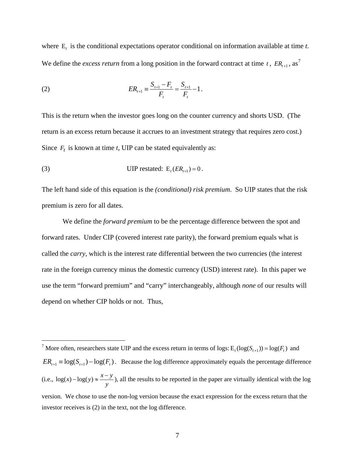where  $E_t$  is the conditional expectations operator conditional on information available at time  $t$ . We define the *excess return* from a long position in the forward contract at time *t*,  $ER_{t+1}$ , as<sup>[7](#page-7-0)</sup>

(2) 
$$
ER_{t+1} = \frac{S_{t+1} - F_t}{F_t} = \frac{S_{t+1}}{F_t} - 1.
$$

This is the return when the investor goes long on the counter currency and shorts USD. (The return is an excess return because it accrues to an investment strategy that requires zero cost.) Since  $F_t$  is known at time *t*, UIP can be stated equivalently as:

(3) 
$$
\text{UIP restated: } E_t(ER_{t+1}) = 0.
$$

The left hand side of this equation is the *(conditional) risk premium*. So UIP states that the risk premium is zero for all dates.

We define the *forward premium* to be the percentage difference between the spot and forward rates. Under CIP (covered interest rate parity), the forward premium equals what is called the *carry*, which is the interest rate differential between the two currencies (the interest rate in the foreign currency minus the domestic currency (USD) interest rate). In this paper we use the term "forward premium" and "carry" interchangeably, although *none* of our results will depend on whether CIP holds or not. Thus,

<span id="page-7-0"></span><sup>7</sup> More often, researchers state UIP and the excess return in terms of logs:  $E_t(log(S_{t+1})) = log(F_t)$  and  $ER_{t+1} \equiv \log(S_{t+1}) - \log(F_t)$ . Because the log difference approximately equals the percentage difference (i.e., *y*  $log(x) - log(y) \approx \frac{x-y}{y}$ , all the results to be reported in the paper are virtually identical with the log version. We chose to use the non-log version because the exact expression for the excess return that the investor receives is (2) in the text, not the log difference.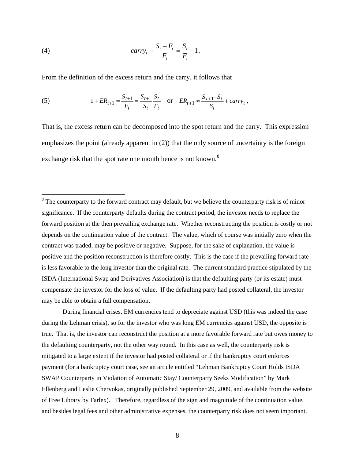(4) 
$$
carry_t \equiv \frac{S_t - F_t}{F_t} = \frac{S_t}{F_t} - 1.
$$

 $\overline{a}$ 

From the definition of the excess return and the carry, it follows that

(5) 
$$
1 + ER_{t+1} = \frac{S_{t+1}}{F_t} = \frac{S_{t+1}}{S_t} \frac{S_t}{F_t} \text{ or } ER_{t+1} \approx \frac{S_{t+1} - S_t}{S_t} + carry_t,
$$

That is, the excess return can be decomposed into the spot return and the carry. This expression emphasizes the point (already apparent in (2)) that the only source of uncertainty is the foreign exchange risk that the spot rate one month hence is not known.<sup>[8](#page-8-0)</sup>

 During financial crises, EM currencies tend to depreciate against USD (this was indeed the case during the Lehman crisis), so for the investor who was long EM currencies against USD, the opposite is true. That is, the investor can reconstruct the position at a more favorable forward rate but owes money to the defaulting counterparty, not the other way round. In this case as well, the counterparty risk is mitigated to a large extent if the investor had posted collateral or if the bankruptcy court enforces payment (for a bankruptcy court case, see an article entitled "Lehman Bankruptcy Court Holds ISDA SWAP Counterparty in Violation of Automatic Stay/ Counterparty Seeks Modification" by Mark Ellenberg and Leslie Chervokas, originally published September 29, 2009, and available from the website of Free Library by Farlex). Therefore, regardless of the sign and magnitude of the continuation value, and besides legal fees and other administrative expenses, the counterparty risk does not seem important.

<span id="page-8-0"></span> $8$  The counterparty to the forward contract may default, but we believe the counterparty risk is of minor significance. If the counterparty defaults during the contract period, the investor needs to replace the forward position at the then prevailing exchange rate. Whether reconstructing the position is costly or not depends on the continuation value of the contract. The value, which of course was initially zero when the contract was traded, may be positive or negative. Suppose, for the sake of explanation, the value is positive and the position reconstruction is therefore costly. This is the case if the prevailing forward rate is less favorable to the long investor than the original rate. The current standard practice stipulated by the ISDA (International Swap and Derivatives Association) is that the defaulting party (or its estate) must compensate the investor for the loss of value. If the defaulting party had posted collateral, the investor may be able to obtain a full compensation.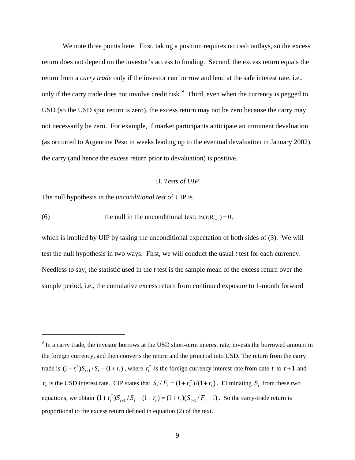We note three points here. First, taking a position requires no cash outlays, so the excess return does not depend on the investor's access to funding. Second, the excess return equals the return from a *carry trade* only if the investor can borrow and lend at the safe interest rate, i.e., only if the carry trade does not involve credit risk.<sup>[9](#page-9-0)</sup> Third, even when the currency is pegged to USD (so the USD spot return is zero), the excess return may not be zero because the carry may not necessarily be zero. For example, if market participants anticipate an imminent devaluation (as occurred to Argentine Peso in weeks leading up to the eventual devaluation in January 2002), the carry (and hence the excess return prior to devaluation) is positive.

### B. *Tests of UIP*

The null hypothesis in the *unconditional test* of UIP is

 $\overline{a}$ 

(6) the null in the unconditional test: 
$$
E(ER_{t+1}) = 0
$$
,

which is implied by UIP by taking the unconditional expectation of both sides of (3). We will test the null hypothesis in two ways. First, we will conduct the usual *t* test for each currency. Needless to say, the statistic used in the *t* test is the sample mean of the excess return over the sample period, i.e., the cumulative excess return from continued exposure to 1-month forward

<span id="page-9-0"></span><sup>&</sup>lt;sup>9</sup> In a carry trade, the investor borrows at the USD short-term interest rate, invests the borrowed amount in the foreign currency, and then converts the return and the principal into USD. The return from the carry trade is  $(1 + r_t^*)S_{t+1}/S_t - (1 + r_t)$ , where  $r_t^*$  is the foreign currency interest rate from date t to  $t + 1$  and  $r_t$  is the USD interest rate. CIP states that  $S_t / F_t = (1 + r_t^*)/(1 + r_t)$ . Eliminating  $S_t$  from these two equations, we obtain  $(1 + r_t^*)S_{t+1}/S_t - (1 + r_t) = (1 + r_t)(S_{t+1}/F_t - 1)$ . So the carry-trade return is proportional to the excess return defined in equation (2) of the text.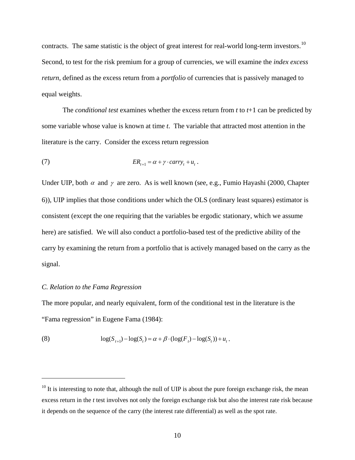contracts. The same statistic is the object of great interest for real-world long-term investors.<sup>[10](#page-10-0)</sup> Second, to test for the risk premium for a group of currencies, we will examine the *index excess return*, defined as the excess return from a *portfolio* of currencies that is passively managed to equal weights.

 The *conditional test* examines whether the excess return from *t* to *t*+1 can be predicted by some variable whose value is known at time *t*. The variable that attracted most attention in the literature is the carry. Consider the excess return regression

(7) 
$$
ER_{t+1} = \alpha + \gamma \cdot carry_t + u_t.
$$

Under UIP, both  $\alpha$  and  $\gamma$  are zero. As is well known (see, e.g., Fumio Hayashi (2000, Chapter 6)), UIP implies that those conditions under which the OLS (ordinary least squares) estimator is consistent (except the one requiring that the variables be ergodic stationary, which we assume here) are satisfied. We will also conduct a portfolio-based test of the predictive ability of the carry by examining the return from a portfolio that is actively managed based on the carry as the signal.

### *C. Relation to the Fama Regression*

 $\overline{a}$ 

The more popular, and nearly equivalent, form of the conditional test in the literature is the "Fama regression" in Eugene Fama (1984):

(8) 
$$
\log(S_{t+1}) - \log(S_t) = \alpha + \beta \cdot (\log(F_t) - \log(S_t)) + u_t.
$$

<span id="page-10-0"></span> $10$  It is interesting to note that, although the null of UIP is about the pure foreign exchange risk, the mean excess return in the *t* test involves not only the foreign exchange risk but also the interest rate risk because it depends on the sequence of the carry (the interest rate differential) as well as the spot rate.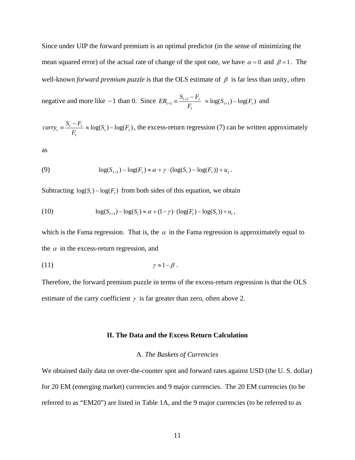Since under UIP the forward premium is an optimal predictor (in the sense of minimizing the mean squared error) of the actual rate of change of the spot rate, we have  $\alpha = 0$  and  $\beta = 1$ . The well-known *forward premium puzzle* is that the OLS estimate of  $\beta$  is far less than unity, often

negative and more like  $-1$  than 0. Since *t*  $t_{t+1} \equiv \frac{S_{t+1} - F_t}{F_t}$  $ER_{t+1} = \frac{S_{t+1} - F_t}{F_t} \approx \log(S_{t+1}) - \log(F_t)$  and

*t*  $t = \frac{S_t - F_t}{F_t}$  $carry$ <sub>*t*</sub>  $\equiv \frac{S_t - F_t}{F} \approx \log(S_t) - \log(F_t)$ , the excess-return regression (7) can be written approximately

as

(9) 
$$
\log(S_{t+1}) - \log(F_t) \approx \alpha + \gamma \cdot (\log(S_t) - \log(F_t)) + u_t.
$$

Subtracting  $log(S_t) - log(F_t)$  from both sides of this equation, we obtain

(10) 
$$
\log(S_{t+1}) - \log(S_t) \approx \alpha + (1 - \gamma) \cdot (\log(F_t) - \log(S_t)) + u_t,
$$

which is the Fama regression. That is, the  $\alpha$  in the Fama regression is approximately equal to the  $\alpha$  in the excess-return regression, and

$$
\gamma \approx 1 - \beta \, .
$$

Therefore, the forward premium puzzle in terms of the excess-return regression is that the OLS estimate of the carry coefficient  $\gamma$  is far greater than zero, often above 2.

### **II. The Data and the Excess Return Calculation**

### A. *The Baskets of Currencies*

We obtained daily data on over-the-counter spot and forward rates against USD (the U. S. dollar) for 20 EM (emerging market) currencies and 9 major currencies. The 20 EM currencies (to be referred to as "EM20") are listed in Table 1A, and the 9 major currencies (to be referred to as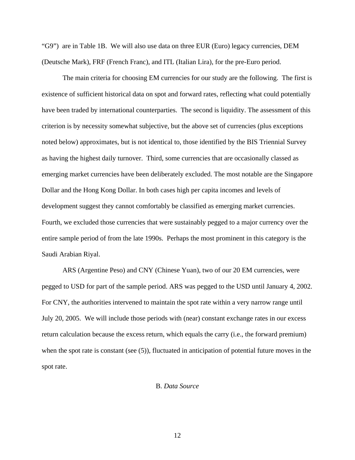"G9") are in Table 1B. We will also use data on three EUR (Euro) legacy currencies, DEM (Deutsche Mark), FRF (French Franc), and ITL (Italian Lira), for the pre-Euro period.

The main criteria for choosing EM currencies for our study are the following. The first is existence of sufficient historical data on spot and forward rates, reflecting what could potentially have been traded by international counterparties. The second is liquidity. The assessment of this criterion is by necessity somewhat subjective, but the above set of currencies (plus exceptions noted below) approximates, but is not identical to, those identified by the BIS Triennial Survey as having the highest daily turnover. Third, some currencies that are occasionally classed as emerging market currencies have been deliberately excluded. The most notable are the Singapore Dollar and the Hong Kong Dollar. In both cases high per capita incomes and levels of development suggest they cannot comfortably be classified as emerging market currencies. Fourth, we excluded those currencies that were sustainably pegged to a major currency over the entire sample period of from the late 1990s. Perhaps the most prominent in this category is the Saudi Arabian Riyal.

ARS (Argentine Peso) and CNY (Chinese Yuan), two of our 20 EM currencies, were pegged to USD for part of the sample period. ARS was pegged to the USD until January 4, 2002. For CNY, the authorities intervened to maintain the spot rate within a very narrow range until July 20, 2005. We will include those periods with (near) constant exchange rates in our excess return calculation because the excess return, which equals the carry (i.e., the forward premium) when the spot rate is constant (see (5)), fluctuated in anticipation of potential future moves in the spot rate.

### B. *Data Source*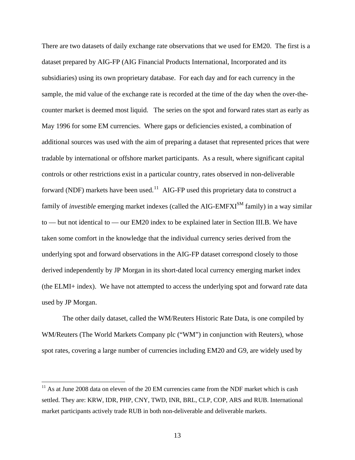There are two datasets of daily exchange rate observations that we used for EM20. The first is a dataset prepared by AIG-FP (AIG Financial Products International, Incorporated and its subsidiaries) using its own proprietary database. For each day and for each currency in the sample, the mid value of the exchange rate is recorded at the time of the day when the over-thecounter market is deemed most liquid. The series on the spot and forward rates start as early as May 1996 for some EM currencies. Where gaps or deficiencies existed, a combination of additional sources was used with the aim of preparing a dataset that represented prices that were tradable by international or offshore market participants. As a result, where significant capital controls or other restrictions exist in a particular country, rates observed in non-deliverable forward (NDF) markets have been used.<sup>[11](#page-13-0)</sup> AIG-FP used this proprietary data to construct a family of *investible* emerging market indexes (called the AIG-EMFXI<sup>SM</sup> family) in a way similar to — but not identical to — our EM20 index to be explained later in Section III.B. We have taken some comfort in the knowledge that the individual currency series derived from the underlying spot and forward observations in the AIG-FP dataset correspond closely to those derived independently by JP Morgan in its short-dated local currency emerging market index (the ELMI+ index). We have not attempted to access the underlying spot and forward rate data used by JP Morgan.

The other daily dataset, called the WM/Reuters Historic Rate Data, is one compiled by WM/Reuters (The World Markets Company plc ("WM") in conjunction with Reuters), whose spot rates, covering a large number of currencies including EM20 and G9, are widely used by

<span id="page-13-0"></span> $11$  As at June 2008 data on eleven of the 20 EM currencies came from the NDF market which is cash settled. They are: KRW, IDR, PHP, CNY, TWD, INR, BRL, CLP, COP, ARS and RUB. International market participants actively trade RUB in both non-deliverable and deliverable markets.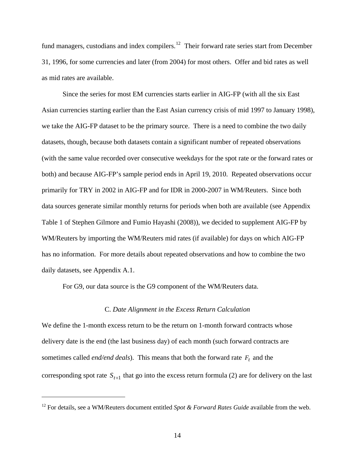fund managers, custodians and index compilers.<sup>[12](#page-14-0)</sup> Their forward rate series start from December 31, 1996, for some currencies and later (from 2004) for most others. Offer and bid rates as well as mid rates are available.

Since the series for most EM currencies starts earlier in AIG-FP (with all the six East Asian currencies starting earlier than the East Asian currency crisis of mid 1997 to January 1998), we take the AIG-FP dataset to be the primary source. There is a need to combine the two daily datasets, though, because both datasets contain a significant number of repeated observations (with the same value recorded over consecutive weekdays for the spot rate or the forward rates or both) and because AIG-FP's sample period ends in April 19, 2010. Repeated observations occur primarily for TRY in 2002 in AIG-FP and for IDR in 2000-2007 in WM/Reuters. Since both data sources generate similar monthly returns for periods when both are available (see Appendix Table 1 of Stephen Gilmore and Fumio Hayashi (2008)), we decided to supplement AIG-FP by WM/Reuters by importing the WM/Reuters mid rates (if available) for days on which AIG-FP has no information. For more details about repeated observations and how to combine the two daily datasets, see Appendix A.1.

For G9, our data source is the G9 component of the WM/Reuters data.

### C. *Date Alignment in the Excess Return Calculation*

We define the 1-month excess return to be the return on 1-month forward contracts whose delivery date is the end (the last business day) of each month (such forward contracts are sometimes called *end/end deals*). This means that both the forward rate  $F_t$  and the corresponding spot rate  $S_{t+1}$  that go into the excess return formula (2) are for delivery on the last

<span id="page-14-0"></span><sup>&</sup>lt;sup>12</sup> For details, see a WM/Reuters document entitled *Spot & Forward Rates Guide* available from the web.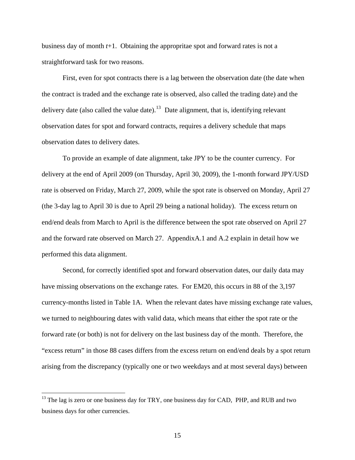business day of month *t*+1. Obtaining the appropritae spot and forward rates is not a straightforward task for two reasons.

First, even for spot contracts there is a lag between the observation date (the date when the contract is traded and the exchange rate is observed, also called the trading date) and the delivery date (also called the value date).<sup>[13](#page-15-0)</sup> Date alignment, that is, identifying relevant observation dates for spot and forward contracts, requires a delivery schedule that maps observation dates to delivery dates.

To provide an example of date alignment, take JPY to be the counter currency. For delivery at the end of April 2009 (on Thursday, April 30, 2009), the 1-month forward JPY/USD rate is observed on Friday, March 27, 2009, while the spot rate is observed on Monday, April 27 (the 3-day lag to April 30 is due to April 29 being a national holiday). The excess return on end/end deals from March to April is the difference between the spot rate observed on April 27 and the forward rate observed on March 27. AppendixA.1 and A.2 explain in detail how we performed this data alignment.

Second, for correctly identified spot and forward observation dates, our daily data may have missing observations on the exchange rates. For EM20, this occurs in 88 of the 3,197 currency-months listed in Table 1A. When the relevant dates have missing exchange rate values, we turned to neighbouring dates with valid data, which means that either the spot rate or the forward rate (or both) is not for delivery on the last business day of the month. Therefore, the "excess return" in those 88 cases differs from the excess return on end/end deals by a spot return arising from the discrepancy (typically one or two weekdays and at most several days) between

<span id="page-15-0"></span> $^{13}$  The lag is zero or one business day for TRY, one business day for CAD, PHP, and RUB and two business days for other currencies.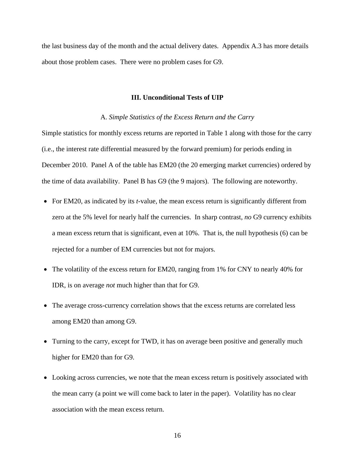the last business day of the month and the actual delivery dates. Appendix A.3 has more details about those problem cases. There were no problem cases for G9.

### **III. Unconditional Tests of UIP**

### A. *Simple Statistics of the Excess Return and the Carry*

Simple statistics for monthly excess returns are reported in Table 1 along with those for the carry (i.e., the interest rate differential measured by the forward premium) for periods ending in December 2010. Panel A of the table has EM20 (the 20 emerging market currencies) ordered by the time of data availability. Panel B has G9 (the 9 majors). The following are noteworthy.

- For EM20, as indicated by its *t*-value, the mean excess return is significantly different from zero at the 5% level for nearly half the currencies. In sharp contrast, *no* G9 currency exhibits a mean excess return that is significant, even at 10%. That is, the null hypothesis (6) can be rejected for a number of EM currencies but not for majors.
- The volatility of the excess return for EM20, ranging from 1% for CNY to nearly 40% for IDR, is on average *not* much higher than that for G9.
- The average cross-currency correlation shows that the excess returns are correlated less among EM20 than among G9.
- Turning to the carry, except for TWD, it has on average been positive and generally much higher for EM20 than for G9.
- Looking across currencies, we note that the mean excess return is positively associated with the mean carry (a point we will come back to later in the paper). Volatility has no clear association with the mean excess return.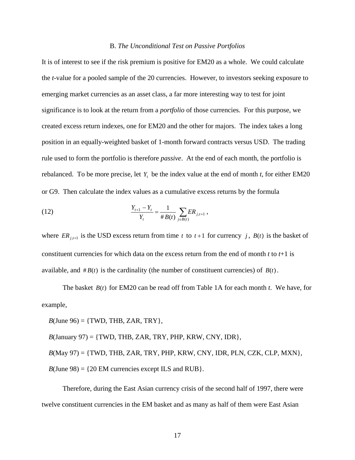### B. *The Unconditional Test on Passive Portfolios*

It is of interest to see if the risk premium is positive for EM20 as a whole. We could calculate the *t*-value for a pooled sample of the 20 currencies. However, to investors seeking exposure to emerging market currencies as an asset class, a far more interesting way to test for joint significance is to look at the return from a *portfolio* of those currencies. For this purpose, we created excess return indexes, one for EM20 and the other for majors. The index takes a long position in an equally-weighted basket of 1-month forward contracts versus USD. The trading rule used to form the portfolio is therefore *passive*. At the end of each month, the portfolio is rebalanced. To be more precise, let  $Y_t$  be the index value at the end of month *t*, for either EM20 or G9. Then calculate the index values as a cumulative excess returns by the formula

(12) 
$$
\frac{Y_{t+1} - Y_t}{Y_t} = \frac{1}{\# B(t)} \sum_{j \in B(t)} ER_{j, t+1},
$$

where  $ER_{j,t+1}$  is the USD excess return from time *t* to  $t+1$  for currency *j*,  $B(t)$  is the basket of constituent currencies for which data on the excess return from the end of month *t* to *t*+1 is available, and  $#B(t)$  is the cardinality (the number of constituent currencies) of  $B(t)$ .

The basket  $B(t)$  for EM20 can be read off from Table 1A for each month *t*. We have, for example,

 $B$ (June 96) = {TWD, THB, ZAR, TRY},

 $B$ (January 97) = {TWD, THB, ZAR, TRY, PHP, KRW, CNY, IDR},

*B*(May 97) = {TWD, THB, ZAR, TRY, PHP, KRW, CNY, IDR, PLN, CZK, CLP, MXN},

 $B$ (June 98) = {20 EM currencies except ILS and RUB}.

Therefore, during the East Asian currency crisis of the second half of 1997, there were twelve constituent currencies in the EM basket and as many as half of them were East Asian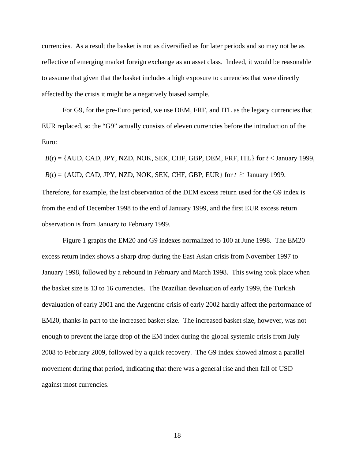currencies. As a result the basket is not as diversified as for later periods and so may not be as reflective of emerging market foreign exchange as an asset class. Indeed, it would be reasonable to assume that given that the basket includes a high exposure to currencies that were directly affected by the crisis it might be a negatively biased sample.

For G9, for the pre-Euro period, we use DEM, FRF, and ITL as the legacy currencies that EUR replaced, so the "G9" actually consists of eleven currencies before the introduction of the Euro:

 $B(t) = \{ \text{AUD}, \text{CAD}, \text{JPY}, \text{NZD}, \text{NOK}, \text{SEK}, \text{CHF}, \text{GBP}, \text{DEM}, \text{FRF}, \text{ITL} \}$  for  $t <$  January 1999,  $B(t) = \{ \text{AUD}, \text{CAD}, \text{JPY}, \text{NZD}, \text{NOK}, \text{SEK}, \text{CHF}, \text{GBP}, \text{EUR} \}$  for  $t \geq \text{January } 1999$ . Therefore, for example, the last observation of the DEM excess return used for the G9 index is from the end of December 1998 to the end of January 1999, and the first EUR excess return observation is from January to February 1999.

 Figure 1 graphs the EM20 and G9 indexes normalized to 100 at June 1998. The EM20 excess return index shows a sharp drop during the East Asian crisis from November 1997 to January 1998, followed by a rebound in February and March 1998. This swing took place when the basket size is 13 to 16 currencies. The Brazilian devaluation of early 1999, the Turkish devaluation of early 2001 and the Argentine crisis of early 2002 hardly affect the performance of EM20, thanks in part to the increased basket size. The increased basket size, however, was not enough to prevent the large drop of the EM index during the global systemic crisis from July 2008 to February 2009, followed by a quick recovery. The G9 index showed almost a parallel movement during that period, indicating that there was a general rise and then fall of USD against most currencies.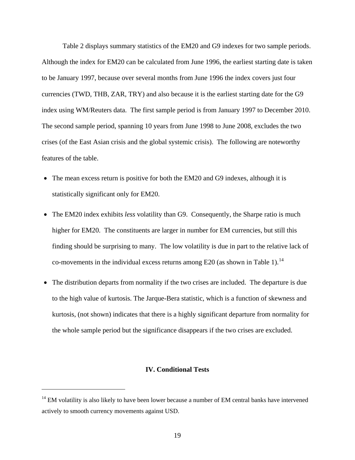Table 2 displays summary statistics of the EM20 and G9 indexes for two sample periods. Although the index for EM20 can be calculated from June 1996, the earliest starting date is taken to be January 1997, because over several months from June 1996 the index covers just four currencies (TWD, THB, ZAR, TRY) and also because it is the earliest starting date for the G9 index using WM/Reuters data. The first sample period is from January 1997 to December 2010. The second sample period, spanning 10 years from June 1998 to June 2008, excludes the two crises (of the East Asian crisis and the global systemic crisis). The following are noteworthy features of the table.

- The mean excess return is positive for both the EM20 and G9 indexes, although it is statistically significant only for EM20.
- The EM20 index exhibits *less* volatility than G9. Consequently, the Sharpe ratio is much higher for EM20. The constituents are larger in number for EM currencies, but still this finding should be surprising to many. The low volatility is due in part to the relative lack of co-movements in the individual excess returns among E20 (as shown in Table 1).<sup>[14](#page-19-0)</sup>
- The distribution departs from normality if the two crises are included. The departure is due to the high value of kurtosis. The Jarque-Bera statistic, which is a function of skewness and kurtosis, (not shown) indicates that there is a highly significant departure from normality for the whole sample period but the significance disappears if the two crises are excluded.

### **IV. Conditional Tests**

<span id="page-19-0"></span> $14$  EM volatility is also likely to have been lower because a number of EM central banks have intervened actively to smooth currency movements against USD.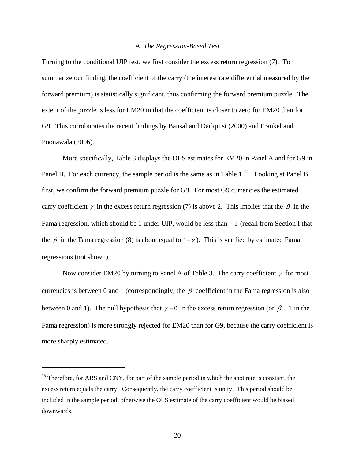### A. *The Regression-Based Test*

Turning to the conditional UIP test, we first consider the excess return regression (7). To summarize our finding, the coefficient of the carry (the interest rate differential measured by the forward premium) is statistically significant, thus confirming the forward premium puzzle. The extent of the puzzle is less for EM20 in that the coefficient is closer to zero for EM20 than for G9. This corroborates the recent findings by Bansal and Darlquist (2000) and Frankel and Poonawala (2006).

 More specifically, Table 3 displays the OLS estimates for EM20 in Panel A and for G9 in Panel B. For each currency, the sample period is the same as in Table  $1<sup>15</sup>$  $1<sup>15</sup>$  $1<sup>15</sup>$  Looking at Panel B first, we confirm the forward premium puzzle for G9. For most G9 currencies the estimated carry coefficient  $\gamma$  in the excess return regression (7) is above 2. This implies that the  $\beta$  in the Fama regression, which should be 1 under UIP, would be less than  $-1$  (recall from Section I that the  $\beta$  in the Fama regression (8) is about equal to  $1 - \gamma$ ). This is verified by estimated Fama regressions (not shown).

Now consider EM20 by turning to Panel A of Table 3. The carry coefficient  $\gamma$  for most currencies is between 0 and 1 (correspondingly, the  $\beta$  coefficient in the Fama regression is also between 0 and 1). The null hypothesis that  $\gamma = 0$  in the excess return regression (or  $\beta = 1$  in the Fama regression) is more strongly rejected for EM20 than for G9, because the carry coefficient is more sharply estimated.

<span id="page-20-0"></span><sup>&</sup>lt;sup>15</sup> Therefore, for ARS and CNY, for part of the sample period in which the spot rate is constant, the excess return equals the carry. Consequently, the carry coefficient is unity. This period should be included in the sample period; otherwise the OLS estimate of the carry coefficient would be biased downwards.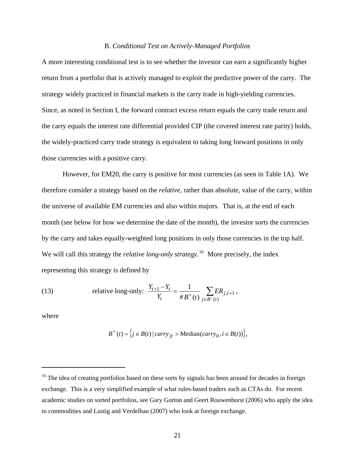### B. *Conditional Test on Actively-Managed Portfolios*

A more interesting conditional test is to see whether the investor can earn a significantly higher return from a portfolio that is actively managed to exploit the predictive power of the carry. The strategy widely practiced in financial markets is the carry trade in high-yielding currencies. Since, as noted in Section I, the forward contract excess return equals the carry trade return and the carry equals the interest rate differential provided CIP (the covered interest rate parity) holds, the widely-practiced carry trade strategy is equivalent to taking long forward positions in only those currencies with a positive carry.

However, for EM20, the carry is positive for most currencies (as seen in Table 1A). We therefore consider a strategy based on the *relative*, rather than absolute, value of the carry, within the universe of available EM currencies and also within majors. That is, at the end of each month (see below for how we determine the date of the month), the investor sorts the currencies by the carry and takes equally-weighted long positions in only those currencies in the top half. We will call this strategy the *relative long-only strategy*.<sup>[16](#page-21-0)</sup> More precisely, the index representing this strategy is defined by

(13) relative long-only: 
$$
\frac{Y_{t+1} - Y_t}{Y_t} = \frac{1}{\# B^+(t)} \sum_{j \in B^+(t)} ER_{j,t+1},
$$

where

$$
B^{+}(t) = \left\{ j \in B(t) \mid carry_{jt} > \text{Median}(carry_{it}, i \in B(t)) \right\},\
$$

<span id="page-21-0"></span><sup>&</sup>lt;sup>16</sup> The idea of creating portfolios based on these sorts by signals has been around for decades in foreign exchange. This is a very simplified example of what rules-based traders such as CTAs do. For recent academic studies on sorted portfolios, see Gary Gorton and Geert Rouwenhorst (2006) who apply the idea to commodities and Lustig and Verdelhan (2007) who look at foreign exchange.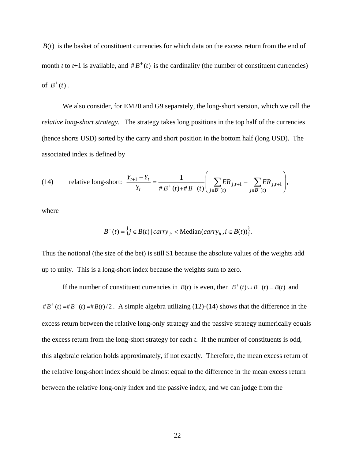$B(t)$  is the basket of constituent currencies for which data on the excess return from the end of of  $B^+(t)$ . month *t* to *t*+1 is available, and  $#B^+(t)$  is the cardinality (the number of constituent currencies)

We also consider, for EM20 and G9 separately, the long-short version, which we call the *relative long-short strategy.* The strategy takes long positions in the top half of the currencies (hence shorts USD) sorted by the carry and short position in the bottom half (long USD). The associated index is defined by

(14) relative long-short: 
$$
\frac{Y_{t+1} - Y_t}{Y_t} = \frac{1}{\# B^+(t) + \# B^-(t)} \left( \sum_{j \in B^+(t)} ER_{j,t+1} - \sum_{j \in B^-(t)} ER_{j,t+1} \right),
$$

where

$$
B^{-}(t) = \left\{ j \in B(t) \mid carry_{j} \leq \text{Median}(carry_{i}, i \in B(t)) \right\}.
$$

Thus the notional (the size of the bet) is still \$1 because the absolute values of the weights add up to unity. This is a long-short index because the weights sum to zero.

If the number of constituent currencies in  $B(t)$  is even, then  $B^+(t) \cup B^-(t) = B(t)$  and  $\#B^+(t) = \#B^-(t) = \#B(t)/2$ . A simple algebra utilizing (12)-(14) shows that the difference in the excess return between the relative long-only strategy and the passive strategy numerically equals the excess return from the long-short strategy for each *t*. If the number of constituents is odd, this algebraic relation holds approximately, if not exactly. Therefore, the mean excess return of the relative long-short index should be almost equal to the difference in the mean excess return between the relative long-only index and the passive index, and we can judge from the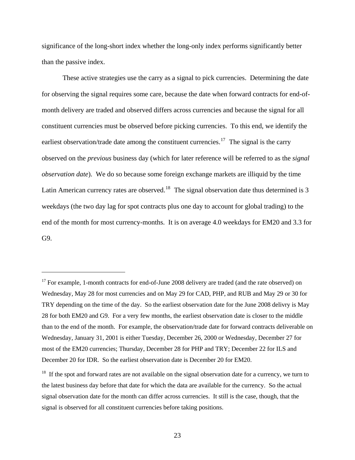significance of the long-short index whether the long-only index performs significantly better than the passive index.

These active strategies use the carry as a signal to pick currencies. Determining the date for observing the signal requires some care, because the date when forward contracts for end-ofmonth delivery are traded and observed differs across currencies and because the signal for all constituent currencies must be observed before picking currencies. To this end, we identify the earliest observation/trade date among the constituent currencies.<sup>[17](#page-23-0)</sup> The signal is the carry observed on the *previous* business day (which for later reference will be referred to as the *signal observation date*). We do so because some foreign exchange markets are illiquid by the time Latin American currency rates are observed.<sup>[18](#page-23-1)</sup> The signal observation date thus determined is 3 weekdays (the two day lag for spot contracts plus one day to account for global trading) to the end of the month for most currency-months. It is on average 4.0 weekdays for EM20 and 3.3 for G9.

<span id="page-23-0"></span><sup>&</sup>lt;sup>17</sup> For example, 1-month contracts for end-of-June 2008 delivery are traded (and the rate observed) on Wednesday, May 28 for most currencies and on May 29 for CAD, PHP, and RUB and May 29 or 30 for TRY depending on the time of the day. So the earliest observation date for the June 2008 delivry is May 28 for both EM20 and G9. For a very few months, the earliest observation date is closer to the middle than to the end of the month. For example, the observation/trade date for forward contracts deliverable on Wednesday, January 31, 2001 is either Tuesday, December 26, 2000 or Wednesday, December 27 for most of the EM20 currencies; Thursday, December 28 for PHP and TRY; December 22 for ILS and December 20 for IDR. So the earliest observation date is December 20 for EM20.

<span id="page-23-1"></span><sup>&</sup>lt;sup>18</sup> If the spot and forward rates are not available on the signal observation date for a currency, we turn to the latest business day before that date for which the data are available for the currency. So the actual signal observation date for the month can differ across currencies. It still is the case, though, that the signal is observed for all constituent currencies before taking positions.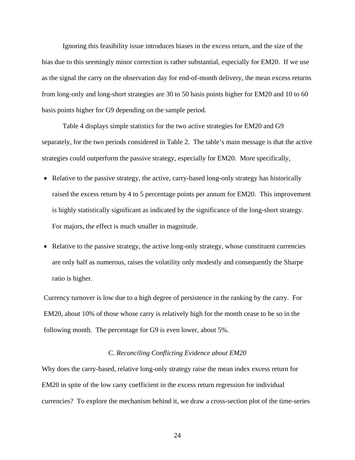Ignoring this feasibility issue introduces biases in the excess return, and the size of the bias due to this seemingly minor correction is rather substantial, especially for EM20. If we use as the signal the carry on the observation day for end-of-month delivery, the mean excess returns from long-only and long-short strategies are 30 to 50 basis points higher for EM20 and 10 to 60 basis points higher for G9 depending on the sample period.

Table 4 displays simple statistics for the two active strategies for EM20 and G9 separately, for the two periods considered in Table 2. The table's main message is that the active strategies could outperform the passive strategy, especially for EM20. More specifically,

- Relative to the passive strategy, the active, carry-based long-only strategy has historically raised the excess return by 4 to 5 percentage points per annum for EM20. This improvement is highly statistically significant as indicated by the significance of the long-short strategy. For majors, the effect is much smaller in magnitude.
- Relative to the passive strategy, the active long-only strategy, whose constituent currencies are only half as numerous, raises the volatility only modestly and consequently the Sharpe ratio is higher.

Currency turnover is low due to a high degree of persistence in the ranking by the carry. For EM20, about 10% of those whose carry is relatively high for the month cease to be so in the following month. The percentage for G9 is even lower, about 5%.

### C. *Reconciling Conflicting Evidence about EM20*

Why does the carry-based, relative long-only strategy raise the mean index excess return for EM20 in spite of the low carry coefficient in the excess return regression for individual currencies? To explore the mechanism behind it, we draw a cross-section plot of the time-series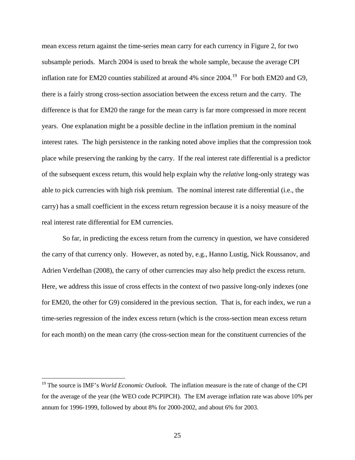mean excess return against the time-series mean carry for each currency in Figure 2, for two subsample periods. March 2004 is used to break the whole sample, because the average CPI inflation rate for EM20 counties stabilized at around 4% since  $2004$ .<sup>[19](#page-25-0)</sup> For both EM20 and G9, there is a fairly strong cross-section association between the excess return and the carry. The difference is that for EM20 the range for the mean carry is far more compressed in more recent years. One explanation might be a possible decline in the inflation premium in the nominal interest rates. The high persistence in the ranking noted above implies that the compression took place while preserving the ranking by the carry. If the real interest rate differential is a predictor of the subsequent excess return, this would help explain why the *relative* long-only strategy was able to pick currencies with high risk premium. The nominal interest rate differential (i.e., the carry) has a small coefficient in the excess return regression because it is a noisy measure of the real interest rate differential for EM currencies.

 So far, in predicting the excess return from the currency in question, we have considered the carry of that currency only. However, as noted by, e.g., Hanno Lustig, Nick Roussanov, and Adrien Verdelhan (2008), the carry of other currencies may also help predict the excess return. Here, we address this issue of cross effects in the context of two passive long-only indexes (one for EM20, the other for G9) considered in the previous section. That is, for each index, we run a time-series regression of the index excess return (which is the cross-section mean excess return for each month) on the mean carry (the cross-section mean for the constituent currencies of the

<u>.</u>

<span id="page-25-0"></span><sup>19</sup> The source is IMF's *World Economic Outlook*. The inflation measure is the rate of change of the CPI for the average of the year (the WEO code PCPIPCH). The EM average inflation rate was above 10% per annum for 1996-1999, followed by about 8% for 2000-2002, and about 6% for 2003.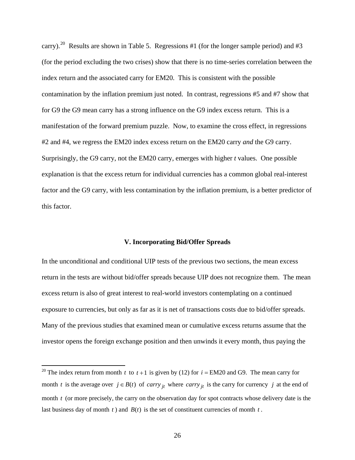carry).<sup>[20](#page-26-0)</sup> Results are shown in Table 5. Regressions #1 (for the longer sample period) and #3 (for the period excluding the two crises) show that there is no time-series correlation between the index return and the associated carry for EM20. This is consistent with the possible contamination by the inflation premium just noted. In contrast, regressions #5 and #7 show that for G9 the G9 mean carry has a strong influence on the G9 index excess return. This is a manifestation of the forward premium puzzle. Now, to examine the cross effect, in regressions #2 and #4, we regress the EM20 index excess return on the EM20 carry *and* the G9 carry. Surprisingly, the G9 carry, not the EM20 carry, emerges with higher *t* values. One possible explanation is that the excess return for individual currencies has a common global real-interest factor and the G9 carry, with less contamination by the inflation premium, is a better predictor of this factor.

### **V. Incorporating Bid/Offer Spreads**

In the unconditional and conditional UIP tests of the previous two sections, the mean excess return in the tests are without bid/offer spreads because UIP does not recognize them. The mean excess return is also of great interest to real-world investors contemplating on a continued exposure to currencies, but only as far as it is net of transactions costs due to bid/offer spreads. Many of the previous studies that examined mean or cumulative excess returns assume that the investor opens the foreign exchange position and then unwinds it every month, thus paying the

<span id="page-26-0"></span><sup>&</sup>lt;sup>20</sup> The index return from month *t* to  $t + 1$  is given by (12) for  $i = EM20$  and G9. The mean carry for month *t* is the average over  $j \in B(t)$  of *carry*  $j<sub>i</sub>$  where *carry*  $j<sub>i</sub>$  is the carry for currency *j* at the end of month  $t$  (or more precisely, the carry on the observation day for spot contracts whose delivery date is the last business day of month  $t$ ) and  $B(t)$  is the set of constituent currencies of month  $t$ .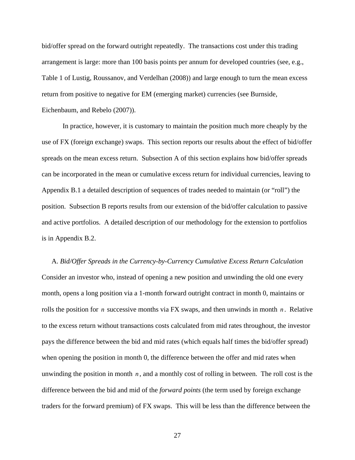bid/offer spread on the forward outright repeatedly. The transactions cost under this trading arrangement is large: more than 100 basis points per annum for developed countries (see, e.g., Table 1 of Lustig, Roussanov, and Verdelhan (2008)) and large enough to turn the mean excess return from positive to negative for EM (emerging market) currencies (see Burnside, Eichenbaum, and Rebelo (2007)).

In practice, however, it is customary to maintain the position much more cheaply by the use of FX (foreign exchange) swaps. This section reports our results about the effect of bid/offer spreads on the mean excess return. Subsection A of this section explains how bid/offer spreads can be incorporated in the mean or cumulative excess return for individual currencies, leaving to Appendix B.1 a detailed description of sequences of trades needed to maintain (or "roll") the position. Subsection B reports results from our extension of the bid/offer calculation to passive and active portfolios. A detailed description of our methodology for the extension to portfolios is in Appendix B.2.

A. *Bid/Offer Spreads in the Currency-by-Currency Cumulative Excess Return Calculation* Consider an investor who, instead of opening a new position and unwinding the old one every month, opens a long position via a 1-month forward outright contract in month 0, maintains or rolls the position for *n* successive months via FX swaps, and then unwinds in month *n*. Relative to the excess return without transactions costs calculated from mid rates throughout, the investor pays the difference between the bid and mid rates (which equals half times the bid/offer spread) when opening the position in month 0, the difference between the offer and mid rates when unwinding the position in month  $n$ , and a monthly cost of rolling in between. The roll cost is the difference between the bid and mid of the *forward points* (the term used by foreign exchange traders for the forward premium) of FX swaps. This will be less than the difference between the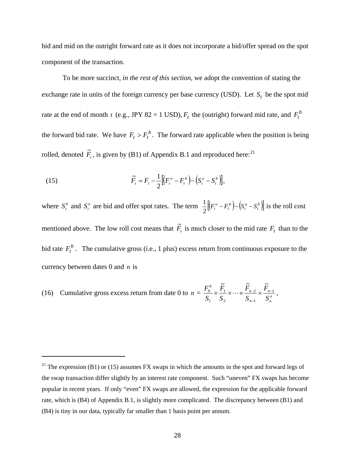bid and mid on the outright forward rate as it does not incorporate a bid/offer spread on the spot component of the transaction.

 To be more succinct, *in the rest of this section*, we adopt the convention of stating the exchange rate in units of the foreign currency per base currency (USD). Let  $S_t$  be the spot mid rate at the end of month *t* (e.g., JPY 82 = 1 USD),  $F_t$  the (outright) forward mid rate, and  $F_t^b$ the forward bid rate. We have  $F_t > F_t^b$ . The forward rate applicable when the position is being rolled, denoted  $\tilde{F}_t$ , is given by (B1) of Appendix B.1 and reproduced here:<sup>[21](#page-28-0)</sup>

(15) 
$$
\widetilde{F}_t = F_t - \frac{1}{2} \Big[ \Big( F_t^o - F_t^b \Big) - \Big( S_t^o - S_t^b \Big) \Big],
$$

1

where  $S_t^b$  and  $S_t^o$  are bid and offer spot rates. The term  $\frac{1}{2}[(F_t^o - F_t^b) - (S_t^o - S_t^b)]$  $\frac{1}{2}$  $\left[ \left( F_t^{\circ} - F_t^{\circ} \right) - \left( S_t^{\circ} - S_t^{\circ} \right) \right]$  is the roll cost mentioned above. The low roll cost means that  $\tilde{F}_t$  is much closer to the mid rate  $F_t$  than to the bid rate  $F_t^b$ . The cumulative gross (i.e., 1 plus) excess return from continuous exposure to the currency between dates  $0$  and  $n$  is

(16) Cumulative gross excess return from date 0 to  $n = \frac{r_0}{g} \times \frac{r_1}{g} \times \dots \times \frac{r_{n-2}}{g} \times \frac{r_n}{g}$ *n n n n b S F S F S F S*  $F_0^b$   $\bar{F}_1$   $\bar{F}_{n-2}$   $\bar{F}_{n-1}$ 1 2 2 1 1 0  $\tilde{r}$   $\tilde{r}$   $\tilde{r}$ - $\overline{a}$  $\times \frac{r_1}{q} \times \cdots \times \frac{r_{n-2}}{q} \times \frac{r_{n-1}}{q}$ ,

<span id="page-28-0"></span><sup>&</sup>lt;sup>21</sup> The expression (B1) or (15) assumes FX swaps in which the amounts in the spot and forward legs of the swap transaction differ slightly by an interest rate component. Such "uneven" FX swaps has become popular in recent years. If only "even" FX swaps are allowed, the expression for the applicable forward rate, which is (B4) of Appendix B.1, is slightly more complicated. The discrepancy between (B1) and (B4) is tiny in our data, typically far smaller than 1 basis point per annum.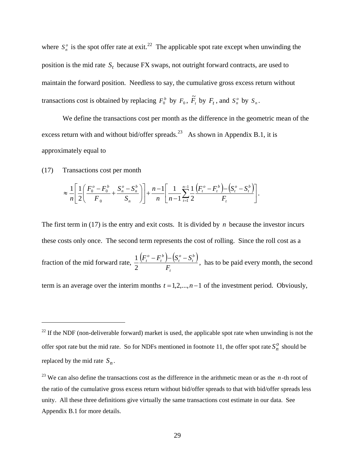where  $S_n^o$  is the spot offer rate at exit.<sup>[22](#page-29-0)</sup> The applicable spot rate except when unwinding the position is the mid rate  $S_t$  because FX swaps, not outright forward contracts, are used to maintain the forward position. Needless to say, the cumulative gross excess return without transactions cost is obtained by replacing  $F_0^b$  by  $F_0$ ,  $\tilde{F}_t$  by  $F_t$ , and  $S_n^o$  by  $S_n$ .

We define the transactions cost per month as the difference in the geometric mean of the excess return with and without bid/offer spreads.<sup>[23](#page-29-1)</sup> As shown in Appendix B.1, it is approximately equal to

(17) Transactions cost per month

1

$$
\approx \frac{1}{n} \left[ \frac{1}{2} \left( \frac{F_0^o - F_0^b}{F_0} + \frac{S_n^o - S_n^b}{S_n} \right) \right] + \frac{n-1}{n} \left[ \frac{1}{n-1} \sum_{t=1}^{n-1} \frac{1}{2} \frac{\left( F_t^o - F_t^b \right) - \left( S_t^o - S_t^b \right)}{F_t} \right].
$$

The first term in (17) is the entry and exit costs. It is divided by  $n$  because the investor incurs these costs only once. The second term represents the cost of rolling. Since the roll cost as a fraction of the mid forward rate,  $\frac{1}{2} \frac{\left(F_i^o - F_i^b\right) - \left(S_i^o - S_i^b\right)}{n}$ *t*  $t_t$ <sup>- $\Gamma_t$ </sup> $t$ <sup>-</sup> $\Theta_t$ <sup>- $\Theta_t$ </sup> *F*  $F_t^o - F_t^b$   $\big) - \big( S_t^o - S_t^b \big)$ 2  $\frac{1}{2} \frac{(F_t^o - F_t^b) - (S_t^o - S_t^b)}{T}$ , has to be paid every month, the second term is an average over the interim months  $t = 1, 2, \dots, n-1$  of the investment period. Obviously,

<span id="page-29-0"></span> $22$  If the NDF (non-deliverable forward) market is used, the applicable spot rate when unwinding is not the offer spot rate but the mid rate. So for NDFs mentioned in footnote 11, the offer spot rate  $S_n^o$  should be replaced by the mid rate  $S_n$ .

<span id="page-29-1"></span><sup>&</sup>lt;sup>23</sup> We can also define the transactions cost as the difference in the arithmetic mean or as the  $n$ -th root of the ratio of the cumulative gross excess return without bid/offer spreads to that with bid/offer spreads less unity. All these three definitions give virtually the same transactions cost estimate in our data. See Appendix B.1 for more details.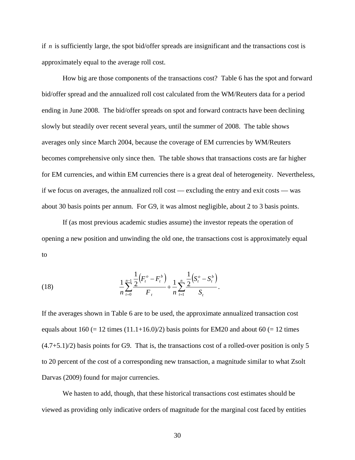if  $n$  is sufficiently large, the spot bid/offer spreads are insignificant and the transactions cost is approximately equal to the average roll cost.

How big are those components of the transactions cost? Table 6 has the spot and forward bid/offer spread and the annualized roll cost calculated from the WM/Reuters data for a period ending in June 2008. The bid/offer spreads on spot and forward contracts have been declining slowly but steadily over recent several years, until the summer of 2008. The table shows averages only since March 2004, because the coverage of EM currencies by WM/Reuters becomes comprehensive only since then. The table shows that transactions costs are far higher for EM currencies, and within EM currencies there is a great deal of heterogeneity. Nevertheless, if we focus on averages, the annualized roll cost — excluding the entry and exit costs — was about 30 basis points per annum. For G9, it was almost negligible, about 2 to 3 basis points.

If (as most previous academic studies assume) the investor repeats the operation of opening a new position and unwinding the old one, the transactions cost is approximately equal to

(18) 
$$
\frac{1}{n}\sum_{t=0}^{n-1}\frac{\frac{1}{2}(F_t^o-F_t^b)}{F_t}+\frac{1}{n}\sum_{t=1}^{n}\frac{\frac{1}{2}(S_t^o-S_t^b)}{S_t}.
$$

If the averages shown in Table 6 are to be used, the approximate annualized transaction cost equals about 160 (= 12 times  $(11.1+16.0)/2$ ) basis points for EM20 and about 60 (= 12 times  $(4.7+5.1)/2$ ) basis points for G9. That is, the transactions cost of a rolled-over position is only 5 to 20 percent of the cost of a corresponding new transaction, a magnitude similar to what Zsolt Darvas (2009) found for major currencies.

We hasten to add, though, that these historical transactions cost estimates should be viewed as providing only indicative orders of magnitude for the marginal cost faced by entities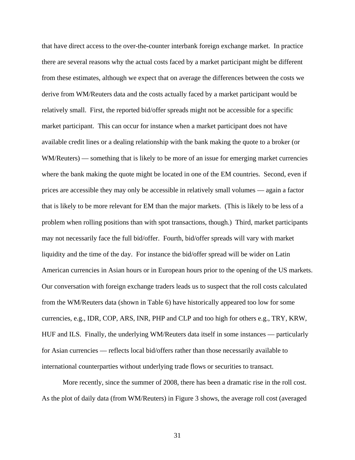that have direct access to the over-the-counter interbank foreign exchange market. In practice there are several reasons why the actual costs faced by a market participant might be different from these estimates, although we expect that on average the differences between the costs we derive from WM/Reuters data and the costs actually faced by a market participant would be relatively small. First, the reported bid/offer spreads might not be accessible for a specific market participant. This can occur for instance when a market participant does not have available credit lines or a dealing relationship with the bank making the quote to a broker (or WM/Reuters) — something that is likely to be more of an issue for emerging market currencies where the bank making the quote might be located in one of the EM countries. Second, even if prices are accessible they may only be accessible in relatively small volumes — again a factor that is likely to be more relevant for EM than the major markets. (This is likely to be less of a problem when rolling positions than with spot transactions, though.) Third, market participants may not necessarily face the full bid/offer. Fourth, bid/offer spreads will vary with market liquidity and the time of the day. For instance the bid/offer spread will be wider on Latin American currencies in Asian hours or in European hours prior to the opening of the US markets. Our conversation with foreign exchange traders leads us to suspect that the roll costs calculated from the WM/Reuters data (shown in Table 6) have historically appeared too low for some currencies, e.g., IDR, COP, ARS, INR, PHP and CLP and too high for others e.g., TRY, KRW, HUF and ILS. Finally, the underlying WM/Reuters data itself in some instances — particularly for Asian currencies — reflects local bid/offers rather than those necessarily available to international counterparties without underlying trade flows or securities to transact.

More recently, since the summer of 2008, there has been a dramatic rise in the roll cost. As the plot of daily data (from WM/Reuters) in Figure 3 shows, the average roll cost (averaged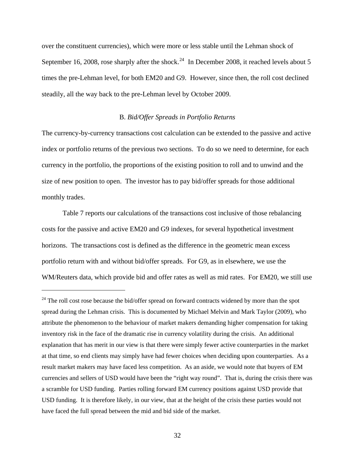over the constituent currencies), which were more or less stable until the Lehman shock of September 16, 2008, rose sharply after the shock.<sup>[24](#page-32-0)</sup> In December 2008, it reached levels about 5 times the pre-Lehman level, for both EM20 and G9. However, since then, the roll cost declined steadily, all the way back to the pre-Lehman level by October 2009.

### B. *Bid/Offer Spreads in Portfolio Returns*

The currency-by-currency transactions cost calculation can be extended to the passive and active index or portfolio returns of the previous two sections. To do so we need to determine, for each currency in the portfolio, the proportions of the existing position to roll and to unwind and the size of new position to open. The investor has to pay bid/offer spreads for those additional monthly trades.

Table 7 reports our calculations of the transactions cost inclusive of those rebalancing costs for the passive and active EM20 and G9 indexes, for several hypothetical investment horizons. The transactions cost is defined as the difference in the geometric mean excess portfolio return with and without bid/offer spreads. For G9, as in elsewhere, we use the WM/Reuters data, which provide bid and offer rates as well as mid rates. For EM20, we still use

<span id="page-32-0"></span> $24$  The roll cost rose because the bid/offer spread on forward contracts widened by more than the spot spread during the Lehman crisis. This is documented by Michael Melvin and Mark Taylor (2009), who attribute the phenomenon to the behaviour of market makers demanding higher compensation for taking inventory risk in the face of the dramatic rise in currency volatility during the crisis. An additional explanation that has merit in our view is that there were simply fewer active counterparties in the market at that time, so end clients may simply have had fewer choices when deciding upon counterparties. As a result market makers may have faced less competition. As an aside, we would note that buyers of EM currencies and sellers of USD would have been the "right way round". That is, during the crisis there was a scramble for USD funding. Parties rolling forward EM currency positions against USD provide that USD funding. It is therefore likely, in our view, that at the height of the crisis these parties would not have faced the full spread between the mid and bid side of the market.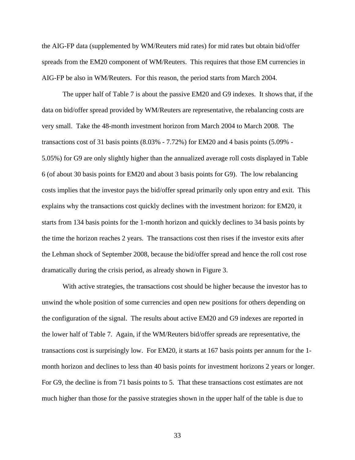the AIG-FP data (supplemented by WM/Reuters mid rates) for mid rates but obtain bid/offer spreads from the EM20 component of WM/Reuters. This requires that those EM currencies in AIG-FP be also in WM/Reuters. For this reason, the period starts from March 2004.

The upper half of Table 7 is about the passive EM20 and G9 indexes. It shows that, if the data on bid/offer spread provided by WM/Reuters are representative, the rebalancing costs are very small. Take the 48-month investment horizon from March 2004 to March 2008. The transactions cost of 31 basis points (8.03% - 7.72%) for EM20 and 4 basis points (5.09% - 5.05%) for G9 are only slightly higher than the annualized average roll costs displayed in Table 6 (of about 30 basis points for EM20 and about 3 basis points for G9). The low rebalancing costs implies that the investor pays the bid/offer spread primarily only upon entry and exit. This explains why the transactions cost quickly declines with the investment horizon: for EM20, it starts from 134 basis points for the 1-month horizon and quickly declines to 34 basis points by the time the horizon reaches 2 years. The transactions cost then rises if the investor exits after the Lehman shock of September 2008, because the bid/offer spread and hence the roll cost rose dramatically during the crisis period, as already shown in Figure 3.

With active strategies, the transactions cost should be higher because the investor has to unwind the whole position of some currencies and open new positions for others depending on the configuration of the signal. The results about active EM20 and G9 indexes are reported in the lower half of Table 7. Again, if the WM/Reuters bid/offer spreads are representative, the transactions cost is surprisingly low. For EM20, it starts at 167 basis points per annum for the 1 month horizon and declines to less than 40 basis points for investment horizons 2 years or longer. For G9, the decline is from 71 basis points to 5. That these transactions cost estimates are not much higher than those for the passive strategies shown in the upper half of the table is due to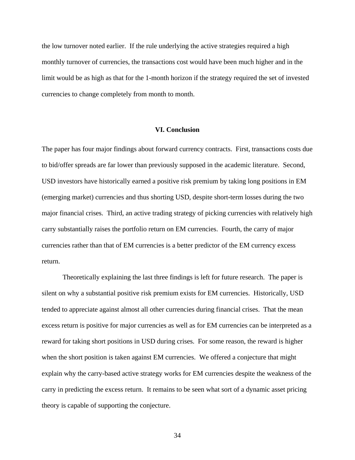the low turnover noted earlier. If the rule underlying the active strategies required a high monthly turnover of currencies, the transactions cost would have been much higher and in the limit would be as high as that for the 1-month horizon if the strategy required the set of invested currencies to change completely from month to month.

### **VI. Conclusion**

The paper has four major findings about forward currency contracts. First, transactions costs due to bid/offer spreads are far lower than previously supposed in the academic literature. Second, USD investors have historically earned a positive risk premium by taking long positions in EM (emerging market) currencies and thus shorting USD, despite short-term losses during the two major financial crises. Third, an active trading strategy of picking currencies with relatively high carry substantially raises the portfolio return on EM currencies. Fourth, the carry of major currencies rather than that of EM currencies is a better predictor of the EM currency excess return.

 Theoretically explaining the last three findings is left for future research. The paper is silent on why a substantial positive risk premium exists for EM currencies. Historically, USD tended to appreciate against almost all other currencies during financial crises. That the mean excess return is positive for major currencies as well as for EM currencies can be interpreted as a reward for taking short positions in USD during crises. For some reason, the reward is higher when the short position is taken against EM currencies. We offered a conjecture that might explain why the carry-based active strategy works for EM currencies despite the weakness of the carry in predicting the excess return. It remains to be seen what sort of a dynamic asset pricing theory is capable of supporting the conjecture.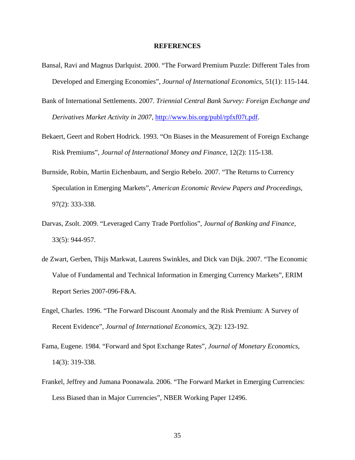### **REFERENCES**

- Bansal, Ravi and Magnus Darlquist. 2000. "The Forward Premium Puzzle: Different Tales from Developed and Emerging Economies", *Journal of International Economics*, 51(1): 115-144.
- Bank of International Settlements. 2007. *Triennial Central Bank Survey: Foreign Exchange and Derivatives Market Activity in 2007*, [http://www.bis.org/publ/rpfxf07t.pdf.](http://www.bis.org/publ/rpfxf07t.pdf)
- Bekaert, Geert and Robert Hodrick. 1993. "On Biases in the Measurement of Foreign Exchange Risk Premiums", *Journal of International Money and Finance*, 12(2): 115-138.
- Burnside, Robin, Martin Eichenbaum, and Sergio Rebelo. 2007. "The Returns to Currency Speculation in Emerging Markets", *American Economic Review Papers and Proceedings*, 97(2): 333-338.
- Darvas, Zsolt. 2009. "Leveraged Carry Trade Portfolios", *Journal of Banking and Finance*, 33(5): 944-957.
- de Zwart, Gerben, Thijs Markwat, Laurens Swinkles, and Dick van Dijk. 2007. "The Economic Value of Fundamental and Technical Information in Emerging Currency Markets", ERIM Report Series 2007-096-F&A.
- Engel, Charles. 1996. "The Forward Discount Anomaly and the Risk Premium: A Survey of Recent Evidence", *Journal of International Economics*, 3(2): 123-192.
- Fama, Eugene. 1984. "Forward and Spot Exchange Rates", *Journal of Monetary Economics*, 14(3): 319-338.
- Frankel, Jeffrey and Jumana Poonawala. 2006. "The Forward Market in Emerging Currencies: Less Biased than in Major Currencies", NBER Working Paper 12496.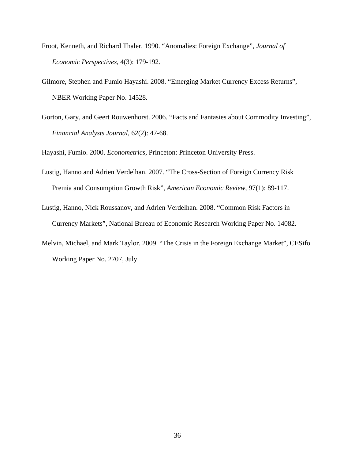- Froot, Kenneth, and Richard Thaler. 1990. "Anomalies: Foreign Exchange", *Journal of Economic Perspectives*, 4(3): 179-192.
- Gilmore, Stephen and Fumio Hayashi. 2008. "Emerging Market Currency Excess Returns", NBER Working Paper No. 14528.
- Gorton, Gary, and Geert Rouwenhorst. 2006. "Facts and Fantasies about Commodity Investing", *Financial Analysts Journal*, 62(2): 47-68.

Hayashi, Fumio. 2000. *Econometrics*, Princeton: Princeton University Press.

- Lustig, Hanno and Adrien Verdelhan. 2007. "The Cross-Section of Foreign Currency Risk Premia and Consumption Growth Risk", *American Economic Review*, 97(1): 89-117.
- Lustig, Hanno, Nick Roussanov, and Adrien Verdelhan. 2008. "Common Risk Factors in Currency Markets", National Bureau of Economic Research Working Paper No. 14082.
- Melvin, Michael, and Mark Taylor. 2009. "The Crisis in the Foreign Exchange Market", CESifo Working Paper No. 2707, July.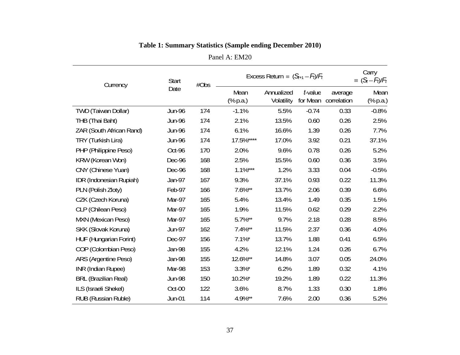| Currency                    | <b>Start</b>  | #Obs |                                     | Excess Return = $(S_{t+1} - F_t)/F_t$ |                     |                        | Carry<br>$\equiv (S_t - F_t)/F_t$ |
|-----------------------------|---------------|------|-------------------------------------|---------------------------------------|---------------------|------------------------|-----------------------------------|
|                             | Date          |      | Mean<br>$(% \mathbb{R}^2)$ (% p.a.) | Annualized<br>Volatility              | t-value<br>for Mean | average<br>correlation | Mean<br>(% p.a.)                  |
| TWD (Taiwan Dollar)         | <b>Jun-96</b> | 174  | $-1.1%$                             | 5.5%                                  | $-0.74$             | 0.33                   | $-0.8%$                           |
| THB (Thai Baht)             | <b>Jun-96</b> | 174  | 2.1%                                | 13.5%                                 | 0.60                | 0.26                   | 2.5%                              |
| ZAR (South African Rand)    | <b>Jun-96</b> | 174  | 6.1%                                | 16.6%                                 | 1.39                | 0.26                   | 7.7%                              |
| TRY (Turkish Lira)          | <b>Jun-96</b> | 174  | 17.5%****                           | 17.0%                                 | 3.92                | 0.21                   | 37.1%                             |
| PHP (Philippine Peso)       | Oct-96        | 170  | 2.0%                                | 9.6%                                  | 0.78                | 0.26                   | 5.2%                              |
| <b>KRW</b> (Korean Won)     | Dec-96        | 168  | 2.5%                                | 15.5%                                 | 0.60                | 0.36                   | 3.5%                              |
| CNY (Chinese Yuan)          | Dec-96        | 168  | $1.1\%***$                          | 1.2%                                  | 3.33                | 0.04                   | $-0.5%$                           |
| IDR (Indonesian Rupiah)     | Jan-97        | 167  | 9.3%                                | 37.1%                                 | 0.93                | 0.22                   | 11.3%                             |
| PLN (Polish Zloty)          | Feb-97        | 166  | $7.6\%$ **                          | 13.7%                                 | 2.06                | 0.39                   | 6.6%                              |
| CZK (Czech Koruna)          | Mar-97        | 165  | 5.4%                                | 13.4%                                 | 1.49                | 0.35                   | 1.5%                              |
| CLP (Chilean Peso)          | Mar-97        | 165  | 1.9%                                | 11.5%                                 | 0.62                | 0.29                   | 2.2%                              |
| MXN (Mexican Peso)          | Mar-97        | 165  | $5.7\%$ **                          | 9.7%                                  | 2.18                | 0.28                   | 8.5%                              |
| SKK (Slovak Koruna)         | Jun-97        | 162  | $7.4\%**$                           | 11.5%                                 | 2.37                | 0.36                   | 4.0%                              |
| HUF (Hungarian Forint)      | Dec-97        | 156  | $7.1\%$ *                           | 13.7%                                 | 1.88                | 0.41                   | 6.5%                              |
| COP (Colombian Peso)        | Jan-98        | 155  | 4.2%                                | 12.1%                                 | 1.24                | 0.26                   | 6.7%                              |
| ARS (Argentine Peso)        | Jan-98        | 155  | 12.6%**                             | 14.8%                                 | 3.07                | 0.05                   | 24.0%                             |
| INR (Indian Rupee)          | Mar-98        | 153  | $3.3\%$ *                           | 6.2%                                  | 1.89                | 0.32                   | 4.1%                              |
| <b>BRL (Brazilian Real)</b> | <b>Jun-98</b> | 150  | $10.2\%$ <sup>*</sup>               | 19.2%                                 | 1.89                | 0.22                   | 11.3%                             |
| ILS (Israeli Shekel)        | Oct-00        | 122  | 3.6%                                | 8.7%                                  | 1.33                | 0.30                   | 1.8%                              |
| RUB (Russian Ruble)         | Jun-01        | 114  | 4.9%**                              | 7.6%                                  | 2.00                | 0.36                   | 5.2%                              |

# **Table 1: Summary Statistics (Sample ending December 2010)**

Panel A: EM20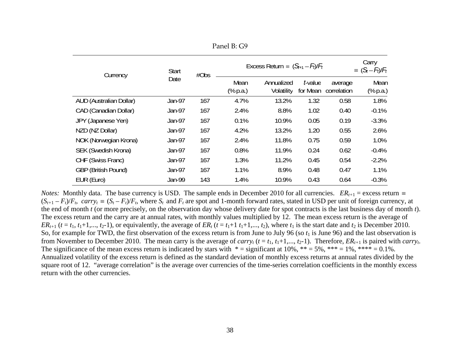| Currency                   | <b>Start</b> | #Obs | Excess Return = $(S_{t+1} - F_t)/F_t$ | Carry<br>$\equiv (S_t - F_t)/F_t$ |                     |                        |                  |  |  |
|----------------------------|--------------|------|---------------------------------------|-----------------------------------|---------------------|------------------------|------------------|--|--|
|                            | Date         |      | Mean<br>(% p.a.)                      | Annualized<br>Volatility          | t-value<br>for Mean | average<br>correlation | Mean<br>(% p.a.) |  |  |
| AUD (Australian Dollar)    | Jan-97       | 167  | 4.7%                                  | 13.2%                             | 1.32                | 0.58                   | 1.8%             |  |  |
| CAD (Canadian Dollar)      | Jan-97       | 167  | 2.4%                                  | 8.8%                              | 1.02                | 0.40                   | $-0.1%$          |  |  |
| JPY (Japanese Yen)         | Jan-97       | 167  | 0.1%                                  | 10.9%                             | 0.05                | 0.19                   | $-3.3%$          |  |  |
| NZD (NZ Dollar)            | Jan-97       | 167  | 4.2%                                  | 13.2%                             | 1.20                | 0.55                   | 2.6%             |  |  |
| NOK (Norwegian Krona)      | Jan-97       | 167  | 2.4%                                  | 11.8%                             | 0.75                | 0.59                   | 1.0%             |  |  |
| <b>SEK (Swedish Krona)</b> | $Jan-97$     | 167  | 0.8%                                  | 11.9%                             | 0.24                | 0.62                   | $-0.4%$          |  |  |
| CHF (Swiss Franc)          | $Jan-97$     | 167  | 1.3%                                  | 11.2%                             | 0.45                | 0.54                   | $-2.2%$          |  |  |
| GBP (British Pound)        | $Jan-97$     | 167  | 1.1%                                  | 8.9%                              | 0.48                | 0.47                   | 1.1%             |  |  |
| EUR (Euro)                 | Jan-99       | 143  | 1.4%                                  | 10.9%                             | 0.43                | 0.64                   | $-0.3%$          |  |  |

Panel B: G9

*Notes:* Monthly data. The base currency is USD. The sample ends in December 2010 for all currencies.  $ER_{t+1}$  = excess return  $\equiv$  $(S_{t+1} - F_t)/F_t$ ,  $carry_t \equiv (S_t - F_t)/F_t$ , where  $S_t$  and  $F_t$  are spot and 1-month forward rates, stated in USD per unit of foreign currency, at the end of month *t* (or more precisely, on the observation day whose delivery date for spot contracts is the last business day of month *t*). The excess return and the carry are at annual rates, with monthly values multiplied by 12. The mean excess return is the average of  $ER_{t+1}$  ( $t = t_1, t_1+1,..., t_2-1$ ), or equivalently, the average of  $ER_t$  ( $t = t_1+1$   $t_1+1,..., t_2$ ), where  $t_1$  is the start date and  $t_2$  is December 2010. So, for example for TWD, the first observation of the excess return is from June to July 96 (so  $t_1$  is June 96) and the last observation is from November to December 2010. The mean carry is the average of *carry<sub>t</sub>* ( $t = t_1, t_1+1,..., t_2-1$ ). Therefore,  $ER_{t+1}$  is paired with *carry<sub>t</sub>*. The significance of the mean excess return is indicated by stars with  $* =$  significant at 10%,  $** = 5\%$ ,  $*** = 1\%$ ,  $*** = 0.1\%$ . Annualized volatility of the excess return is defined as the standard deviation of monthly excess returns at annual rates divided by the square root of 12. "average correlation" is the average over currencies of the time-series correlation coefficients in the monthly excess return with the other currencies.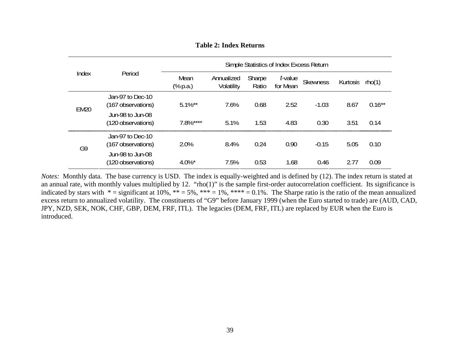| Index          |                                        | Simple Statistics of Index Excess Return |                          |                 |                     |                 |          |           |  |  |  |
|----------------|----------------------------------------|------------------------------------------|--------------------------|-----------------|---------------------|-----------------|----------|-----------|--|--|--|
|                | Period                                 | Mean<br>(% p.a.)                         | Annualized<br>Volatility | Sharpe<br>Ratio | t-value<br>for Mean | <b>Skewness</b> | Kurtosis | rho(1)    |  |  |  |
|                | Jan-97 to Dec-10<br>(167 observations) | $5.1\%$ **                               | 7.6%                     | 0.68            | 2.52                | $-1.03$         | 8.67     | $0.16***$ |  |  |  |
| <b>EM20</b>    | Jun-98 to Jun-08<br>(120 observations) | $7.8\%$ ****                             | 5.1%                     | 1.53            | 4.83                | 0.30            | 3.51     | 0.14      |  |  |  |
| G <sub>9</sub> | Jan-97 to Dec-10<br>(167 observations) | 2.0%                                     | 8.4%                     | 0.24            | 0.90                | $-0.15$         | 5.05     | 0.10      |  |  |  |
|                | Jun-98 to Jun-08<br>(120 observations) | $4.0\%$ <sup>*</sup>                     | 7.5%                     | 0.53            | 1.68                | 0.46            | 2.77     | 0.09      |  |  |  |

**Table 2: Index Returns** 

*Notes:* Monthly data. The base currency is USD. The index is equally-weighted and is defined by (12). The index return is stated at an annual rate, with monthly values multiplied by 12. "rho(1)" is the sample first-order autocorrelation coefficient. Its significance is indicated by stars with  $* =$  significant at 10%,  $** = 5\%$ ,  $*** = 1\%$ ,  $*** = 0.1\%$ . The Sharpe ratio is the ratio of the mean annualized excess return to annualized volatility. The constituents of "G9" before January 1999 (when the Euro started to trade) are (AUD, CAD, JPY, NZD, SEK, NOK, CHF, GBP, DEM, FRF, ITL). The legacies (DEM, FRF, ITL) are replaced by EUR when the Euro is introduced.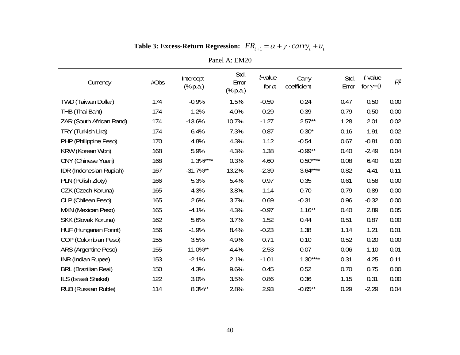| Currency                    | #Obs | Intercept<br>$(% \mathbb{R}^2)$ (% p.a.) | Std.<br>Error<br>(% p.a.) | t-value<br>for $\alpha$ | Carry<br>coefficient | Std.<br>Error | t-value<br>for $\gamma = 0$ | $R^2$ |
|-----------------------------|------|------------------------------------------|---------------------------|-------------------------|----------------------|---------------|-----------------------------|-------|
| TWD (Taiwan Dollar)         | 174  | $-0.9%$                                  | 1.5%                      | $-0.59$                 | 0.24                 | 0.47          | 0.50                        | 0.00  |
| THB (Thai Baht)             | 174  | 1.2%                                     | 4.0%                      | 0.29                    | 0.39                 | 0.79          | 0.50                        | 0.00  |
| ZAR (South African Rand)    | 174  | $-13.6%$                                 | 10.7%                     | $-1.27$                 | $2.57**$             | 1.28          | 2.01                        | 0.02  |
| TRY (Turkish Lira)          | 174  | 6.4%                                     | 7.3%                      | 0.87                    | $0.30*$              | 0.16          | 1.91                        | 0.02  |
| PHP (Philippine Peso)       | 170  | 4.8%                                     | 4.3%                      | 1.12                    | $-0.54$              | 0.67          | $-0.81$                     | 0.00  |
| <b>KRW</b> (Korean Won)     | 168  | 5.9%                                     | 4.3%                      | 1.38                    | $-0.99**$            | 0.40          | $-2.49$                     | 0.04  |
| CNY (Chinese Yuan)          | 168  | $1.3%***$                                | 0.3%                      | 4.60                    | $0.50***$            | 0.08          | 6.40                        | 0.20  |
| IDR (Indonesian Rupiah)     | 167  | $-31.7\%$ **                             | 13.2%                     | $-2.39$                 | $3.64***$            | 0.82          | 4.41                        | 0.11  |
| PLN (Polish Zloty)          | 166  | 5.3%                                     | 5.4%                      | 0.97                    | 0.35                 | 0.61          | 0.58                        | 0.00  |
| CZK (Czech Koruna)          | 165  | 4.3%                                     | 3.8%                      | 1.14                    | 0.70                 | 0.79          | 0.89                        | 0.00  |
| CLP (Chilean Peso)          | 165  | 2.6%                                     | 3.7%                      | 0.69                    | $-0.31$              | 0.96          | $-0.32$                     | 0.00  |
| MXN (Mexican Peso)          | 165  | $-4.1%$                                  | 4.3%                      | $-0.97$                 | $1.16***$            | 0.40          | 2.89                        | 0.05  |
| SKK (Slovak Koruna)         | 162  | 5.6%                                     | 3.7%                      | 1.52                    | 0.44                 | 0.51          | 0.87                        | 0.00  |
| HUF (Hungarian Forint)      | 156  | $-1.9%$                                  | 8.4%                      | $-0.23$                 | 1.38                 | 1.14          | 1.21                        | 0.01  |
| COP (Colombian Peso)        | 155  | 3.5%                                     | 4.9%                      | 0.71                    | 0.10                 | 0.52          | 0.20                        | 0.00  |
| ARS (Argentine Peso)        | 155  | 11.0%**                                  | 4.4%                      | 2.53                    | 0.07                 | 0.06          | 1.10                        | 0.01  |
| INR (Indian Rupee)          | 153  | $-2.1%$                                  | 2.1%                      | $-1.01$                 | $1.30***$            | 0.31          | 4.25                        | 0.11  |
| <b>BRL</b> (Brazilian Real) | 150  | 4.3%                                     | 9.6%                      | 0.45                    | 0.52                 | 0.70          | 0.75                        | 0.00  |
| ILS (Israeli Shekel)        | 122  | 3.0%                                     | 3.5%                      | 0.86                    | 0.36                 | 1.15          | 0.31                        | 0.00  |
| RUB (Russian Ruble)         | 114  | $8.3\%**$                                | 2.8%                      | 2.93                    | $-0.65***$           | 0.29          | $-2.29$                     | 0.04  |

**Table 3: Excess-Return Regression:**  $\mathit{ER}_{t+1} = \alpha + \gamma \cdot carry_{t} + u_{t}$ 

Panel A: EM20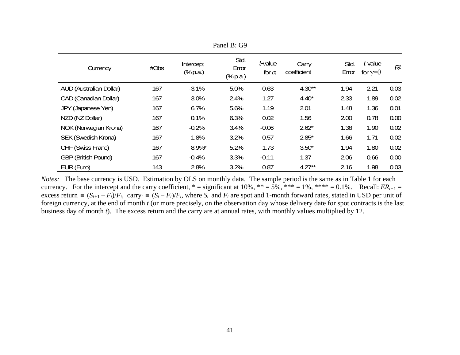| Panel B: G9                |      |                       |                           |                         |                      |               |                             |       |  |  |  |  |  |  |
|----------------------------|------|-----------------------|---------------------------|-------------------------|----------------------|---------------|-----------------------------|-------|--|--|--|--|--|--|
| Currency                   | #Obs | Intercept<br>(% p.a.) | Std.<br>Error<br>(% p.a.) | t-value<br>for $\alpha$ | Carry<br>coefficient | Std.<br>Error | t-value<br>for $\gamma = 0$ | $R^2$ |  |  |  |  |  |  |
| AUD (Australian Dollar)    | 167  | $-3.1%$               | 5.0%                      | $-0.63$                 | $4.30**$             | 1.94          | 2.21                        | 0.03  |  |  |  |  |  |  |
| CAD (Canadian Dollar)      | 167  | 3.0%                  | 2.4%                      | 1.27                    | $4.40*$              | 2.33          | 1.89                        | 0.02  |  |  |  |  |  |  |
| JPY (Japanese Yen)         | 167  | 6.7%                  | 5.6%                      | 1.19                    | 2.01                 | 1.48          | 1.36                        | 0.01  |  |  |  |  |  |  |
| NZD (NZ Dollar)            | 167  | 0.1%                  | 6.3%                      | 0.02                    | 1.56                 | 2.00          | 0.78                        | 0.00  |  |  |  |  |  |  |
| NOK (Norwegian Krona)      | 167  | $-0.2%$               | 3.4%                      | $-0.06$                 | $2.62*$              | 1.38          | 1.90                        | 0.02  |  |  |  |  |  |  |
| <b>SEK (Swedish Krona)</b> | 167  | 1.8%                  | 3.2%                      | 0.57                    | $2.85*$              | 1.66          | 1.71                        | 0.02  |  |  |  |  |  |  |
| CHF (Swiss Franc)          | 167  | 8.9%*                 | 5.2%                      | 1.73                    | $3.50*$              | 1.94          | 1.80                        | 0.02  |  |  |  |  |  |  |
| GBP (British Pound)        | 167  | $-0.4%$               | 3.3%                      | $-0.11$                 | 1.37                 | 2.06          | 0.66                        | 0.00  |  |  |  |  |  |  |
| EUR (Euro)                 | 143  | 2.8%                  | 3.2%                      | 0.87                    | $4.27**$             | 2.16          | 1.98                        | 0.03  |  |  |  |  |  |  |

*Notes:* The base currency is USD. Estimation by OLS on monthly data. The sample period is the same as in Table 1 for each currency. For the intercept and the carry coefficient,  $* =$  significant at 10%,  $** = 5\%$ ,  $*** = 1\%$ ,  $*** = 0.1\%$ . Recall:  $ER_{t+1} =$ excess return  $\equiv (S_{t+1} - F_t)/F_t$ , carry<sub>t</sub>  $\equiv (S_t - F_t)/F_t$ , where  $S_t$  and  $F_t$  are spot and 1-month forward rates, stated in USD per unit of foreign currency, at the end of month *t* (or more precisely, on the observation day whose delivery date for spot contracts is the last business day of month *t*). The excess return and the carry are at annual rates, with monthly values multiplied by 12.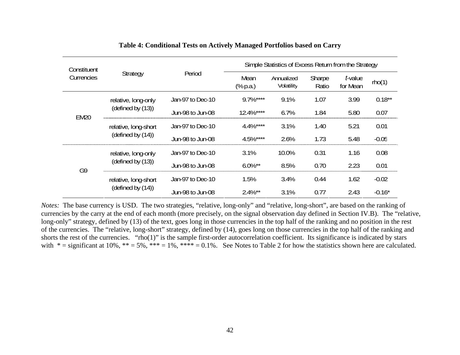| Constituent<br>Currencies |                      |                  |                       | Simple Statistics of Excess Return from the Strategy |                 |                       |           |  |  |
|---------------------------|----------------------|------------------|-----------------------|------------------------------------------------------|-----------------|-----------------------|-----------|--|--|
|                           | Strategy             | Period           | Mean<br>$(\%$ p.a.)   | Annualized<br>Volatility                             | Sharpe<br>Ratio | $t$ value<br>for Mean | rho(1)    |  |  |
|                           | relative, long-only  | Jan-97 to Dec-10 | $9.7\%$ ****          | 9.1%                                                 | 1.07            | 3.99                  | $0.18***$ |  |  |
| <b>EM20</b>               | (defined by (13))    | Jun-98 to Jun-08 | 12.4%****             | 6.7%                                                 | 1.84            | 5.80                  | 0.07      |  |  |
|                           | relative, long-short | Jan-97 to Dec-10 | $4.4\%$ ****          | 3.1%                                                 | 1.40            | 5.21                  | 0.01      |  |  |
|                           | (defined by (14))    | Jun-98 to Jun-08 | $4.5\%$ ****          | 2.6%                                                 | 1.73            | 5.48                  | $-0.05$   |  |  |
|                           | relative, long-only  | Jan-97 to Dec-10 | 3.1%                  | 10.0%                                                | 0.31            | 1.16                  | 0.08      |  |  |
| G <sub>9</sub>            | (defined by (13))    | Jun-98 to Jun-08 | $6.0\%$ <sup>**</sup> | 8.5%                                                 | 0.70            | 2.23                  | 0.01      |  |  |
|                           | relative, long-short | Jan-97 to Dec-10 | 1.5%                  | 3.4%                                                 | 0.44            | 1.62                  | $-0.02$   |  |  |
|                           | (defined by (14))    | Jun-98 to Jun-08 | $2.4\%$ <sup>**</sup> | 3.1%                                                 | 0.77            | 2.43                  | $-0.16*$  |  |  |

## **Table 4: Conditional Tests on Actively Managed Portfolios based on Carry**

*Notes:* The base currency is USD. The two strategies, "relative, long-only" and "relative, long-short", are based on the ranking of currencies by the carry at the end of each month (more precisely, on the signal observation day defined in Section IV.B). The "relative, long-only" strategy, defined by (13) of the text, goes long in those currencies in the top half of the ranking and no position in the rest of the currencies. The "relative, long-short" strategy, defined by (14), goes long on those currencies in the top half of the ranking and shorts the rest of the currencies. "rho(1)" is the sample first-order autocorrelation coefficient. Its significance is indicated by stars with  $* =$  significant at 10%,  $** = 5\%$ ,  $** = 1\%$ ,  $** = 0.1\%$ . See Notes to Table 2 for how the statistics shown here are calculated.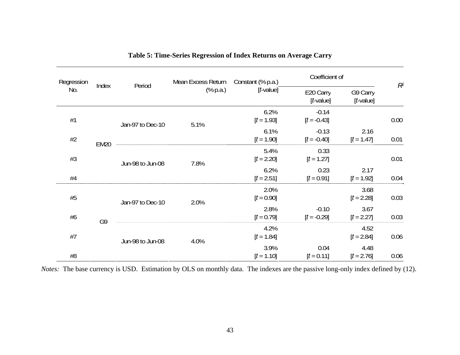| Regression |                |                  | Mean Excess Return          | Constant (% p.a.)    | Coefficient of           |                          |       |
|------------|----------------|------------------|-----------------------------|----------------------|--------------------------|--------------------------|-------|
| No.        | Index          | Period           | $(% \mathbb{R}^2)$ (% p.a.) | $[t$ value]          | E20 Carry<br>$[t$ value] | G9 Carry<br>$[t$ -value] | $R^2$ |
| #1         |                | Jan-97 to Dec-10 | 5.1%                        | 6.2%<br>$[t = 1.93]$ | $-0.14$<br>$[t = -0.43]$ |                          | 0.00  |
| $\#2$      | <b>EM20</b>    | Jun-98 to Jun-08 |                             | 6.1%<br>$[t = 1.90]$ | $-0.13$<br>$[t = -0.40]$ | 2.16<br>$[t = 1.47]$     | 0.01  |
| #3         |                |                  | 7.8%                        | 5.4%<br>$[t = 2.20]$ | 0.33<br>$[t = 1.27]$     |                          | 0.01  |
| #4         |                |                  |                             | 6.2%<br>$[t = 2.51]$ | 0.23<br>$[t = 0.91]$     | 2.17<br>$[t = 1.92]$     | 0.04  |
| #5         |                | Jan-97 to Dec-10 | 2.0%                        | 2.0%<br>$[t = 0.90]$ |                          | 3.68<br>$[t = 2.28]$     | 0.03  |
| #6         | G <sub>9</sub> |                  |                             | 2.8%<br>$[t = 0.79]$ | $-0.10$<br>$[t = -0.29]$ | 3.67<br>$[t = 2.27]$     | 0.03  |
| #7         |                | Jun-98 to Jun-08 | 4.0%                        | 4.2%<br>$[t = 1.84]$ |                          | 4.52<br>$[t = 2.84]$     | 0.06  |
| #8         |                |                  |                             | 3.9%<br>$[t = 1.10]$ | 0.04<br>$[t = 0.11]$     | 4.48<br>$[t = 2.76]$     | 0.06  |

| Table 5: Time-Series Regression of Index Returns on Average Carry |  |  |  |
|-------------------------------------------------------------------|--|--|--|
|                                                                   |  |  |  |

*Notes:* The base currency is USD. Estimation by OLS on monthly data. The indexes are the passive long-only index defined by (12).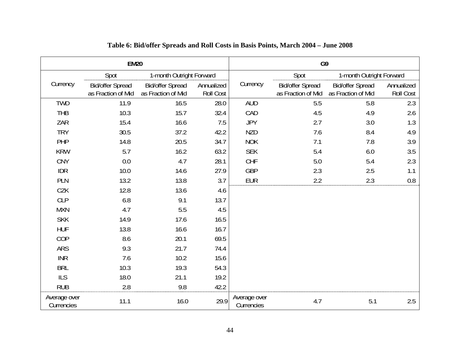|                            | <b>EM20</b>                                   |                                               |                         |                            | G9                                            |                                               |                         |
|----------------------------|-----------------------------------------------|-----------------------------------------------|-------------------------|----------------------------|-----------------------------------------------|-----------------------------------------------|-------------------------|
|                            | Spot                                          | 1-month Outright Forward                      |                         |                            | Spot                                          | 1-month Outright Forward                      |                         |
| Currency                   | <b>Bid/offer Spread</b><br>as Fraction of Mid | <b>Bid/offer Spread</b><br>as Fraction of Mid | Annualized<br>Roll Cost | Currency                   | <b>Bid/offer Spread</b><br>as Fraction of Mid | <b>Bid/offer Spread</b><br>as Fraction of Mid | Annualized<br>Roll Cost |
| <b>TWD</b>                 | 11.9                                          | 16.5                                          | 28.0                    | <b>AUD</b>                 | 5.5                                           | 5.8                                           | 2.3                     |
| <b>THB</b>                 | 10.3                                          | 15.7                                          | 32.4                    | CAD                        | 4.5                                           | 4.9                                           | 2.6                     |
| ZAR                        | 15.4                                          | 16.6                                          | 7.5                     | <b>JPY</b>                 | 2.7                                           | 3.0                                           | 1.3                     |
| <b>TRY</b>                 | 30.5                                          | 37.2                                          | 42.2                    | <b>NZD</b>                 | 7.6                                           | 8.4                                           | 4.9                     |
| PHP                        | 14.8                                          | 20.5                                          | 34.7                    | <b>NOK</b>                 | 7.1                                           | 7.8                                           | 3.9                     |
| <b>KRW</b>                 | 5.7                                           | 16.2                                          | 63.2                    | <b>SEK</b>                 | 5.4                                           | 6.0                                           | 3.5                     |
| <b>CNY</b>                 | 0.0                                           | 4.7                                           | 28.1                    | <b>CHF</b>                 | 5.0                                           | 5.4                                           | 2.3                     |
| <b>IDR</b>                 | 10.0                                          | 14.6                                          | 27.9                    | GBP                        | 2.3                                           | 2.5                                           | 1.1                     |
| PLN                        | 13.2                                          | 13.8                                          | 3.7                     | <b>EUR</b>                 | 2.2                                           | 2.3                                           | 0.8                     |
| CZK                        | 12.8                                          | 13.6                                          | 4.6                     |                            |                                               |                                               |                         |
| <b>CLP</b>                 | $6.8\,$                                       | 9.1                                           | 13.7                    |                            |                                               |                                               |                         |
| <b>MXN</b>                 | 4.7                                           | 5.5                                           | 4.5                     |                            |                                               |                                               |                         |
| <b>SKK</b>                 | 14.9                                          | 17.6                                          | 16.5                    |                            |                                               |                                               |                         |
| <b>HUF</b>                 | 13.8                                          | 16.6                                          | 16.7                    |                            |                                               |                                               |                         |
| COP                        | 8.6                                           | 20.1                                          | 69.5                    |                            |                                               |                                               |                         |
| <b>ARS</b>                 | 9.3                                           | 21.7                                          | 74.4                    |                            |                                               |                                               |                         |
| <b>INR</b>                 | 7.6                                           | 10.2                                          | 15.6                    |                            |                                               |                                               |                         |
| <b>BRL</b>                 | 10.3                                          | 19.3                                          | 54.3                    |                            |                                               |                                               |                         |
| <b>ILS</b>                 | 18.0                                          | 21.1                                          | 19.2                    |                            |                                               |                                               |                         |
| <b>RUB</b>                 | 2.8                                           | 9.8                                           | 42.2                    |                            |                                               |                                               |                         |
| Average over<br>Currencies | 11.1                                          | 16.0                                          | 29.9                    | Average over<br>Currencies | 4.7                                           | 5.1                                           | 2.5                     |

# **Table 6: Bid/offer Spreads and Roll Costs in Basis Points, March 2004 – June 2008**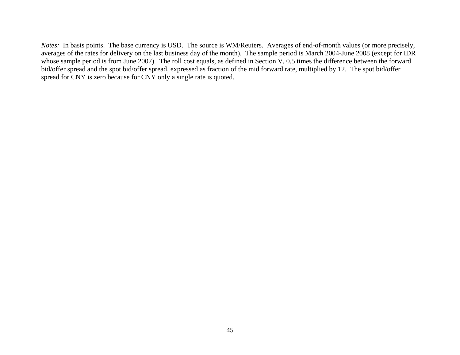*Notes:* In basis points. The base currency is USD. The source is WM/Reuters. Averages of end-of-month values (or more precisely, averages of the rates for delivery on the last business day of the month). The sample period is March 2004-June 2008 (except for IDR whose sample period is from June 2007). The roll cost equals, as defined in Section V, 0.5 times the difference between the forward bid/offer spread and the spot bid/offer spread, expressed as fraction of the mid forward rate, multiplied by 12. The spot bid/offer spread for CNY is zero because for CNY only a single rate is quoted.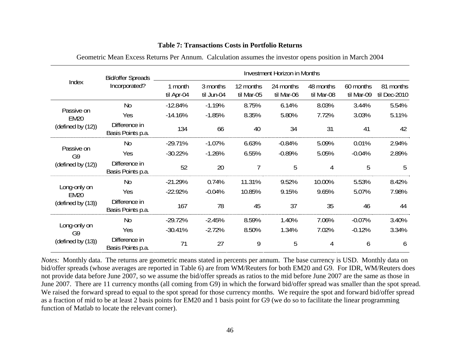| Index                        | <b>Bid/offer Spreads</b>           |                       |                        |                         | <b>Investment Horizon in Months</b> |                         |                         |                           |
|------------------------------|------------------------------------|-----------------------|------------------------|-------------------------|-------------------------------------|-------------------------|-------------------------|---------------------------|
|                              | Incorporated?                      | 1 month<br>til Apr-04 | 3 months<br>til Jun-04 | 12 months<br>til Mar-05 | 24 months<br>til Mar-06             | 48 months<br>til Mar-08 | 60 months<br>til Mar-09 | 81 months<br>til Dec-2010 |
|                              | No                                 | $-12.84%$             | $-1.19%$               | 8.75%                   | 6.14%                               | 8.03%                   | 3.44%                   | 5.54%                     |
| Passive on<br><b>EM20</b>    | Yes                                | $-14.16%$             | $-1.85%$               | 8.35%                   | 5.80%                               | 7.72%                   | 3.03%                   | 5.11%                     |
| (defined by (12))            | Difference in<br>Basis Points p.a. | 134                   | 66                     | 40                      | 34                                  | 31                      | 41                      | 42                        |
|                              | No.                                | $-29.71%$             | $-1.07%$               | 6.63%                   | $-0.84%$                            | 5.09%                   | 0.01%                   | 2.94%                     |
| Passive on<br>G <sub>9</sub> | Yes                                | $-30.22%$             | $-1.26%$               | 6.55%                   | $-0.89%$                            | 5.05%                   | $-0.04%$                | 2.89%                     |
| (defined by (12))            | Difference in<br>Basis Points p.a. | 52                    | 20                     | 7                       | 5                                   | 4                       | 5                       | 5                         |
|                              | No                                 | $-21.29%$             | 0.74%                  | 11.31%                  | 9.52%                               | 10.00%                  | 5.53%                   | 8.42%                     |
| Long-only on<br><b>EM20</b>  | Yes                                | $-22.92%$             | $-0.04%$               | 10.85%                  | 9.15%                               | 9.65%                   | 5.07%                   | 7.98%                     |
| (defined by (13))            | Difference in<br>Basis Points p.a. | 167                   | 78                     | 45                      | 37                                  | 35                      | 46                      | 44                        |
|                              | N <sub>o</sub>                     | $-29.72%$             | $-2.45%$               | 8.59%                   | 1.40%                               | 7.06%                   | $-0.07%$                | 3.40%                     |
| Long-only on<br>G9           | Yes                                | $-30.41%$             | $-2.72%$               | 8.50%                   | 1.34%                               | 7.02%                   | $-0.12%$                | 3.34%                     |
| (defined by (13))            | Difference in<br>Basis Points p.a. | 71                    | 27                     | 9                       | 5                                   | 4                       | 6                       | 6                         |

### **Table 7: Transactions Costs in Portfolio Returns**

Geometric Mean Excess Returns Per Annum. Calculation assumes the investor opens position in March 2004

*Notes:* Monthly data. The returns are geometric means stated in percents per annum. The base currency is USD. Monthly data on bid/offer spreads (whose averages are reported in Table 6) are from WM/Reuters for both EM20 and G9. For IDR, WM/Reuters does not provide data before June 2007, so we assume the bid/offer spreads as ratios to the mid before June 2007 are the same as those in June 2007. There are 11 currency months (all coming from G9) in which the forward bid/offer spread was smaller than the spot spread. We raised the forward spread to equal to the spot spread for those currency months. We require the spot and forward bid/offer spread as a fraction of mid to be at least 2 basis points for EM20 and 1 basis point for G9 (we do so to facilitate the linear programming function of Matlab to locate the relevant corner).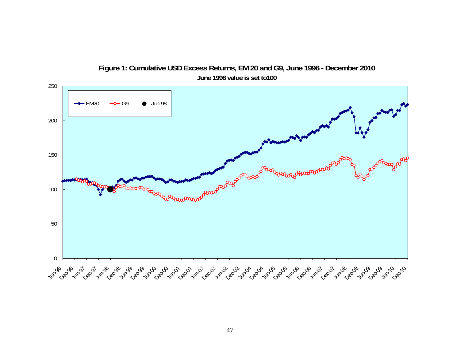

**Figure 1: Cumulative USD Excess Returns, EM 20 and G9, June 1996 - December 2010 June 1998 value is set to100**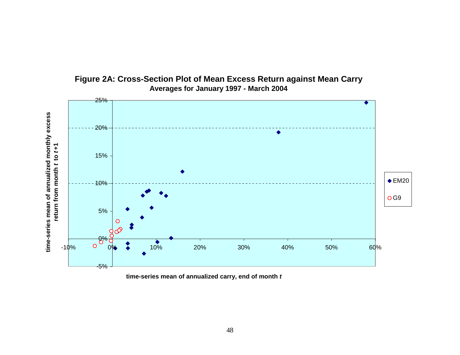

# **Figure 2A: Cross-Section Plot of Mean Excess Return against Mean Carry Averages for January 1997 - March 2004**

**time-series mean of annualized carry, end of month** *t*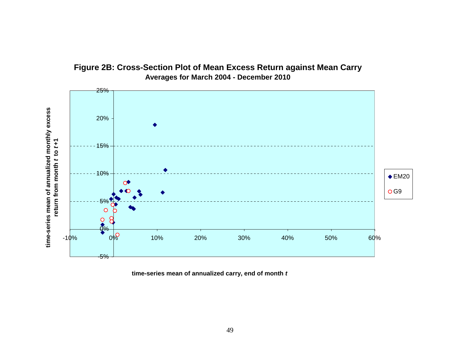

# **Figure 2B: Cross-Section Plot of Mean Excess Return against Mean Carry Averages for March 2004 - December 2010**

**time-series mean of annualized carry, end of month** *t*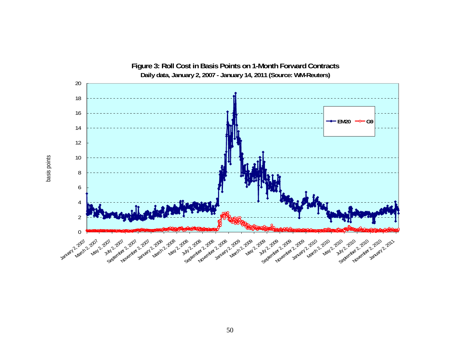

basis points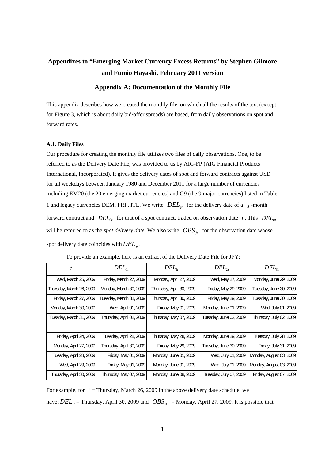# **Appendixes to "Emerging Market Currency Excess Returns" by Stephen Gilmore and Fumio Hayashi, February 2011 version**

### **Appendix A: Documentation of the Monthly File**

This appendix describes how we created the monthly file, on which all the results of the text (except for Figure 3, which is about daily bid/offer spreads) are based, from daily observations on spot and forward rates.

### **A.1. Daily Files**

Our procedure for creating the monthly file utilizes two files of daily observations. One, to be referred to as the Delivery Date File, was provided to us by AIG-FP (AIG Financial Products International, Incorporated). It gives the delivery dates of spot and forward contracts against USD for all weekdays between January 1980 and December 2011 for a large number of currencies including EM20 (the 20 emerging market currencies) and G9 (the 9 major currencies) listed in Table 1 and legacy currencies DEM, FRF, ITL. We write  $DEL_{it}$  for the delivery date of a *j*-month forward contract and  $DEL_{0t}$  for that of a spot contract, traded on observation date t. This  $DEL_{0t}$ will be referred to as the *spot delivery date*. We also write  $\left. \text{OBS}_{jt} \right|$  for the observation date whose spot delivery date coincides with  $DEL_{jt}$ .

|                          | $DEL_{0t}$               | $DEL_{1t}$               | $DEL_{2t}$             | $DEL_{3t}$              |
|--------------------------|--------------------------|--------------------------|------------------------|-------------------------|
| Wed, March 25, 2009      | Friday, March 27, 2009   | Monday, April 27, 2009   | Wed, May 27, 2009      | Monday, June 29, 2009   |
| Thursday, March 26, 2009 | Monday, March 30, 2009   | Thursday, April 30, 2009 | Friday, May 29, 2009   | Tuesday, June 30, 2009  |
| Friday, March 27, 2009   | Tuesday, March 31, 2009  | Thursday, April 30, 2009 | Friday, May 29, 2009   | Tuesday, June 30, 2009  |
| Monday, March 30, 2009   | Wed, April 01, 2009      | Friday, May 01, 2009     | Monday, June 01, 2009  | Wed, July 01, 2009      |
| Tuesday, March 31, 2009  | Thursday, April 02, 2009 | Thursday, May 07, 2009   | Tuesday, June 02, 2009 | Thursday, July 02, 2009 |
| $\cdots$                 | $\cdots$                 | $\cdots$                 | $\cdots$               | $\cdots$                |
| Friday, April 24, 2009   | Tuesday, April 28, 2009  | Thursday, May 28, 2009   | Monday, June 29, 2009  | Tuesday, July 28, 2009  |
| Monday, April 27, 2009   | Thursday, April 30, 2009 | Friday, May 29, 2009     | Tuesday, June 30, 2009 | Friday, July 31, 2009   |
| Tuesday, April 28, 2009  | Friday, May 01, 2009     | Monday, June 01, 2009    | Wed, July 01, 2009     | Monday, August 03, 2009 |
| Wed, April 29, 2009      | Friday, May 01, 2009     | Monday, June 01, 2009    | Wed, July 01, 2009     | Monday, August 03, 2009 |
| Thursday, April 30, 2009 | Thursday, May 07, 2009   | Monday, June 08, 2009    | Tuesday, July 07, 2009 | Friday, August 07, 2009 |

To provide an example, here is an extract of the Delivery Date File for JPY:

For example, for  $t =$ Thursday, March 26, 2009 in the above delivery date schedule, we have:  $DEL_{1t}$  = Thursday, April 30, 2009 and  $\overline{OBS}_{1t}$  = Monday, April 27, 2009. It is possible that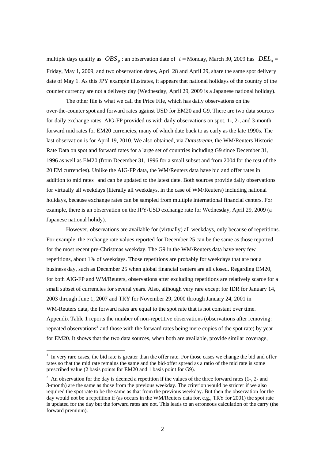multiple days qualify as  $OBS_{jt}$ : an observation date of  $t =$ Monday, March 30, 2009 has  $DEL_{1t} =$ Friday, May 1, 2009, and two observation dates, April 28 and April 29, share the same spot delivery date of May 1. As this JPY example illustrates, it appears that national holidays of the country of the counter currency are not a delivery day (Wednesday, April 29, 2009 is a Japanese national holiday).

The other file is what we call the Price File, which has daily observations on the over-the-counter spot and forward rates against USD for EM20 and G9. There are two data sources for daily exchange rates. AIG-FP provided us with daily observations on spot, 1-, 2-, and 3-month forward mid rates for EM20 currencies, many of which date back to as early as the late 1990s. The last observation is for April 19, 2010. We also obtained, via *Datastream*, the WM/Reuters Historic Rate Data on spot and forward rates for a large set of countries including G9 since December 31, 1996 as well as EM20 (from December 31, 1996 for a small subset and from 2004 for the rest of the 20 EM currencies). Unlike the AIG-FP data, the WM/Reuters data have bid and offer rates in addition to mid rates<sup>[1](#page-52-0)</sup> and can be updated to the latest date. Both sources provide daily observations for virtually all weekdays (literally all weekdays, in the case of WM/Reuters) including national holidays, because exchange rates can be sampled from multiple international financial centers. For example, there is an observation on the JPY/USD exchange rate for Wednesday, April 29, 2009 (a Japanese national holidy).

However, observations are available for (virtually) all weekdays, only because of repetitions. For example, the exchange rate values reported for December 25 can be the same as those reported for the most recent pre-Christmas weekday. The G9 in the WM/Reuters data have very few repetitions, about 1% of weekdays. Those repetitions are probably for weekdays that are not a business day, such as December 25 when global financial centers are all closed. Regarding EM20, for both AIG-FP and WM/Reuters, observations after excluding repetitions are relatively scarce for a small subset of currencies for several years. Also, although very rare except for IDR for January 14, 2003 through June 1, 2007 and TRY for November 29, 2000 through January 24, 2001 in WM-Reuters data, the forward rates are equal to the spot rate that is not constant over time. Appendix Table 1 reports the number of non-repetitive observations (observations after removing: repeated observations<sup>[2](#page-52-1)</sup> and those with the forward rates being mere copies of the spot rate) by year for EM20. It shows that the two data sources, when both are available, provide similar coverage,

<span id="page-52-0"></span><sup>&</sup>lt;sup>1</sup> In very rare cases, the bid rate is greater than the offer rate. For those cases we change the bid and offer rates so that the mid rate remains the same and the bid-offer spread as a ratio of the mid rate is some prescribed value (2 basis points for EM20 and 1 basis point for G9).

<span id="page-52-1"></span><sup>&</sup>lt;sup>2</sup> An observation for the day is deemed a repetition if the values of the three forward rates  $(1, 2)$ - and 3-month) are the same as those from the previous weekday. The criterion would be stricter if we also required the spot rate to be the same as that from the previous weekday. But then the observation for the day would not be a repetition if (as occurs in the WM/Reuters data for, e.g., TRY for 2001) the spot rate is updated for the day but the forward rates are not. This leads to an erroneous calculation of the carry (the forward premium).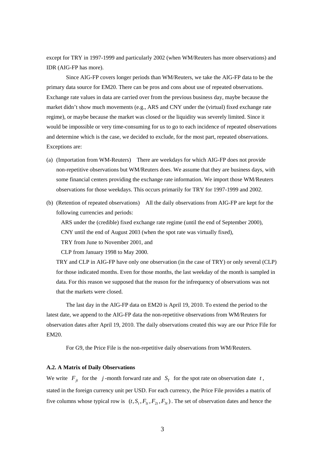except for TRY in 1997-1999 and particularly 2002 (when WM/Reuters has more observations) and IDR (AIG-FP has more).

Since AIG-FP covers longer periods than WM/Reuters, we take the AIG-FP data to be the primary data source for EM20. There can be pros and cons about use of repeated observations. Exchange rate values in data are carried over from the previous business day, maybe because the market didn't show much movements (e.g., ARS and CNY under the (virtual) fixed exchange rate regime), or maybe because the market was closed or the liquidity was severely limited. Since it would be impossible or very time-consuming for us to go to each incidence of repeated observations and determine which is the case, we decided to exclude, for the most part, repeated observations. Exceptions are:

- (a) (Importation from WM-Reuters) There are weekdays for which AIG-FP does not provide non-repetitive observations but WM/Reuters does. We assume that they are business days, with some financial centers providing the exchange rate information. We import those WM/Reuters observations for those weekdays. This occurs primarily for TRY for 1997-1999 and 2002.
- (b) (Retention of repeated observations) All the daily observations from AIG-FP are kept for the following currencies and periods:

ARS under the (credible) fixed exchange rate regime (until the end of September 2000),

CNY until the end of August 2003 (when the spot rate was virtually fixed),

TRY from June to November 2001, and

CLP from January 1998 to May 2000.

TRY and CLP in AIG-FP have only one observation (in the case of TRY) or only several (CLP) for those indicated months. Even for those months, the last weekday of the month is sampled in data. For this reason we supposed that the reason for the infrequency of observations was not that the markets were closed.

The last day in the AIG-FP data on EM20 is April 19, 2010. To extend the period to the latest date, we append to the AIG-FP data the non-repetitive observations from WM/Reuters for observation dates after April 19, 2010. The daily observations created this way are our Price File for EM20.

For G9, the Price File is the non-repetitive daily observations from WM/Reuters.

### **A.2. A Matrix of Daily Observations**

We write  $F_{jt}$  for the *j*-month forward rate and  $S_t$  for the spot rate on observation date t, stated in the foreign currency unit per USD. For each currency, the Price File provides a matrix of five columns whose typical row is  $(t, S_t, F_1, F_2, F_3)$ . The set of observation dates and hence the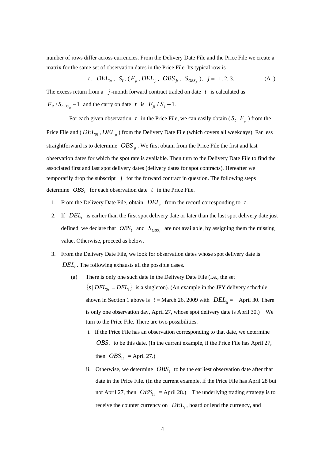number of rows differ across currencies. From the Delivery Date File and the Price File we create a matrix for the same set of observation dates in the Price File. Its typical row is

t, 
$$
DEL_{0t}
$$
,  $S_t$ ,  $(F_{jt}, DEL_{jt}, OBS_{jt}, S_{OBS_{jt}})$ ,  $j = 1, 2, 3.$  (A1)

The excess return from a  $j$ -month forward contract traded on date  $t$  is calculated as  $F_{jt}/S_{OBS_{jt}} - 1$  and the carry on date t is  $F_{jt}/S_t - 1$ .

For each given observation t in the Price File, we can easily obtain  $(S_t, F_{jt})$  from the Price File and (*DEL*<sub>0*t*</sub>, *DEL*<sub>*jt*</sub>) from the Delivery Date File (which covers all weekdays). Far less straightforward is to determine  $\left. OBS_{jt} \right.$ . We first obtain from the Price File the first and last observation dates for which the spot rate is available. Then turn to the Delivery Date File to find the associated first and last spot delivery dates (delivery dates for spot contracts). Hereafter we temporarily drop the subscript  $j$  for the forward contract in question. The following steps determine  $OBS_t$  for each observation date t in the Price File.

- 1. From the Delivery Date File, obtain  $DEL<sub>t</sub>$  from the record corresponding to  $t$ .
- 2. If *DEL<sub>t</sub>* is earlier than the first spot delivery date or later than the last spot delivery date just defined, we declare that  $OBS_t$  and  $S_{OBS_t}$  are not available, by assigning them the missing value. Otherwise, proceed as below.
- 3. From the Delivery Date File, we look for observation dates whose spot delivery date is DEL<sub>t</sub>. The following exhausts all the possible cases.
	- (a) There is only one such date in the Delivery Date File (i.e., the set  $\{s \mid DEL_{0s} = DEL_{t}\}\$ is a singleton). (An example in the JPY delivery schedule shown in Section 1 above is  $t = \text{March } 26, 2009 \text{ with } \text{DEL}_{1t} = \text{April } 30. \text{ There}$ is only one observation day, April 27, whose spot delivery date is April 30.) We turn to the Price File. There are two possibilities.
		- i. If the Price File has an observation corresponding to that date, we determine  $OBS<sub>t</sub>$  to be this date. (In the current example, if the Price File has April 27, then  $OBS_{1t}$  = April 27.)
		- ii. Otherwise, we determine  $OBS_t$ , to be the earliest observation date after that date in the Price File. (In the current example, if the Price File has April 28 but not April 27, then  $OBS_{1t} =$  April 28.) The underlying trading strategy is to receive the counter currency on  $DEL<sub>t</sub>$ , hoard or lend the currency, and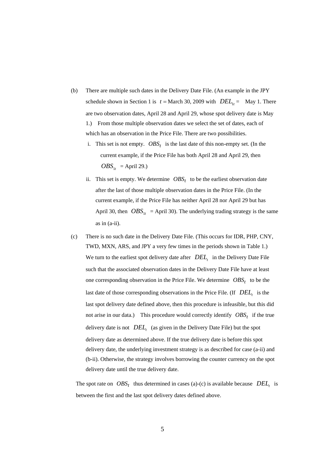- (b) There are multiple such dates in the Delivery Date File. (An example in the JPY schedule shown in Section 1 is  $t = \text{March } 30, 2009 \text{ with } DEL_{1t} = \text{ May } 1.$  There are two observation dates, April 28 and April 29, whose spot delivery date is May 1.) From those multiple observation dates we select the set of dates, each of which has an observation in the Price File. There are two possibilities.
	- i. This set is not empty.  $OBS_t$  is the last date of this non-empty set. (In the current example, if the Price File has both April 28 and April 29, then  $OBS_{1t}$  = April 29.)
	- ii. This set is empty. We determine  $OBS_t$  to be the earliest observation date after the last of those multiple observation dates in the Price File. (In the current example, if the Price File has neither April 28 nor April 29 but has April 30, then  $OBS_{1t}$  = April 30). The underlying trading strategy is the same as in  $(a-ii)$ .
- (c) There is no such date in the Delivery Date File. (This occurs for IDR, PHP, CNY, TWD, MXN, ARS, and JPY a very few times in the periods shown in Table 1.) We turn to the earliest spot delivery date after  $DEL<sub>t</sub>$  in the Delivery Date File such that the associated observation dates in the Delivery Date File have at least one corresponding observation in the Price File. We determine  $\textit{OBS}_t$  to be the last date of those corresponding observations in the Price File. (If *DEL*, is the last spot delivery date defined above, then this procedure is infeasible, but this did not arise in our data.) This procedure would correctly identify  $OBS_t$  if the true delivery date is not  $DEL<sub>t</sub>$  (as given in the Delivery Date File) but the spot delivery date as determined above. If the true delivery date is before this spot delivery date, the underlying investment strategy is as described for case (a-ii) and (b-ii). Otherwise, the strategy involves borrowing the counter currency on the spot delivery date until the true delivery date.

The spot rate on  $OBS_t$  thus determined in cases (a)-(c) is available because  $DEL_t$  is between the first and the last spot delivery dates defined above.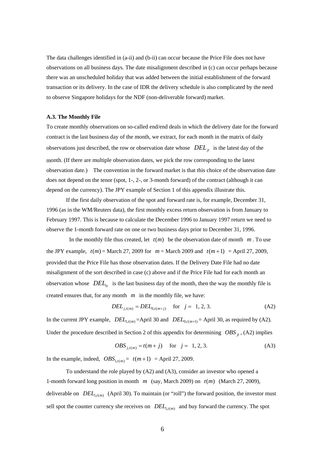The data challenges identified in (a-ii) and (b-ii) can occur because the Price File does not have observations on all business days. The date misalignment described in (c) can occur perhaps because there was an unscheduled holiday that was added between the initial establishment of the forward transaction or its delivery. In the case of IDR the delivery schedule is also complicated by the need to observe Singapore holidays for the NDF (non-deliverable forward) market.

#### **A.3. The Monthly File**

To create monthly observations on so-called end/end deals in which the delivery date for the forward contract is the last business day of the month, we extract, for each month in the matrix of daily observations just described, the row or observation date whose  $DEL_{jt}$  is the latest day of the month. (If there are multiple observation dates, we pick the row corresponding to the latest observation date.) The convention in the forward market is that this choice of the observation date does not depend on the tenor (spot, 1-, 2-, or 3-month forward) of the contract (although it can depend on the currency). The JPY example of Section 1 of this appendix illustrate this.

If the first daily observation of the spot and forward rate is, for example, December 31, 1996 (as in the WM/Reuters data), the first monthly excess return observation is from January to February 1997. This is because to calculate the December 1996 to January 1997 return we need to observe the 1-month forward rate on one or two business days prior to December 31, 1996.

In the monthly file thus created, let  $t(m)$  be the observation date of month  $m$ . To use the JPY example,  $t(m) = \text{March } 27, 2009 \text{ for } m = \text{March } 2009 \text{ and } t(m+1) = \text{April } 27, 2009$ , provided that the Price File has those observation dates. If the Delivery Date File had no date misalignment of the sort described in case (c) above and if the Price File had for each month an observation whose  $DEL_{1t}$  is the last business day of the month, then the way the monthly file is created ensures that, for any month  $m$  in the monthly file, we have:

$$
DEL_{j,t(m)} = DEL_{0,t(m+j)} \quad \text{for} \quad j = 1, 2, 3. \tag{A2}
$$

In the current JPY example,  $DEL_{1,t(m)} =$ April 30 and  $DEL_{0,t(m+1)} =$  April 30, as required by (A2). Under the procedure described in Section 2 of this appendix for determining  $\left. OBS_{jt}, (A2) \right.$  implies

$$
OBS_{j,t(m)} = t(m+j) \quad \text{for} \quad j = 1, 2, 3. \tag{A3}
$$

In the example, indeed,  $OBS_{1,t(m)} = t(m+1) =$  April 27, 2009.

To understand the role played by (A2) and (A3), consider an investor who opened a 1-month forward long position in month  $m$  (say, March 2009) on  $t(m)$  (March 27, 2009), deliverable on  $DEL_{1,t(m)}$  (April 30). To maintain (or "roll") the forward position, the investor must sell spot the counter currency she receives on  $DEL_{1,t(m)}$  and buy forward the currency. The spot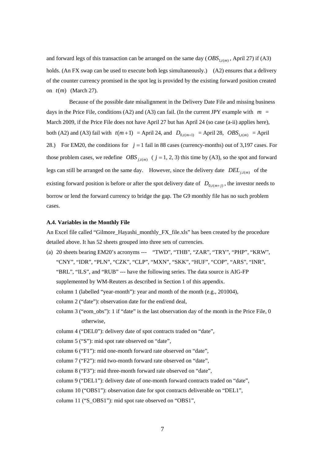and forward legs of this transaction can be arranged on the same day ( $OBS_{1,t(m)}$ , April 27) if (A3) holds. (An FX swap can be used to execute both legs simultaneously.) (A2) ensures that a delivery of the counter currency promised in the spot leg is provided by the existing forward position created on  $t(m)$  (March 27).

Because of the possible date misalignment in the Delivery Date File and missing business days in the Price File, conditions (A2) and (A3) can fail. (In the current JPY example with  $m =$ March 2009, if the Price File does not have April 27 but has April 24 (so case (a-ii) applies here), both (A2) and (A3) fail with  $t(m+1) =$  April 24, and  $D_{0,t(m+1)} =$  April 28,  $OBS_{1,t(m)} =$  April 28.) For EM20, the conditions for  $j = 1$  fail in 88 cases (currency-months) out of 3,197 cases. For those problem cases, we redefine  $OBS_{i,t(m)}$  (  $j = 1, 2, 3$ ) this time by (A3), so the spot and forward legs can still be arranged on the same day. However, since the delivery date  $DEL_{j,t(m)}$  of the existing forward position is before or after the spot delivery date of  $D_{0,t(m+j)}$ , the investor needs to borrow or lend the forward currency to bridge the gap. The G9 monthly file has no such problem cases.

### **A.4. Variables in the Monthly File**

An Excel file called "Gilmore Hayashi\_monthly\_FX\_file.xls" has been created by the procedure detailed above. It has 52 sheets grouped into three sets of currencies.

- (a) 20 sheets bearing EM20's acronyms --- "TWD", "THB", "ZAR", "TRY", "PHP", "KRW", "CNY", "IDR", "PLN", "CZK", "CLP", "MXN", "SKK", "HUF", "COP", "ARS", "INR", "BRL", "ILS", and "RUB" --- have the following series. The data source is AIG-FP supplemented by WM-Reuters as described in Section 1 of this appendix. column 1 (labelled "year-month"): year and month of the month (e.g., 201004), column 2 ("date"): observation date for the end/end deal,
	- column 3 ("eom\_obs"): 1 if "date" is the last observation day of the month in the Price File, 0 otherwise,
	- column 4 ("DEL0"): delivery date of spot contracts traded on "date",

column 5 ("S"): mid spot rate observed on "date",

- column 6 ("F1"): mid one-month forward rate observed on "date",
- column 7 ("F2"): mid two-month forward rate observed on "date",
- column 8 ("F3"): mid three-month forward rate observed on "date",
- column 9 ("DEL1"): delivery date of one-month forward contracts traded on "date",
- column 10 ("OBS1"): observation date for spot contracts deliverable on "DEL1",
- column 11 ("S\_OBS1"): mid spot rate observed on "OBS1",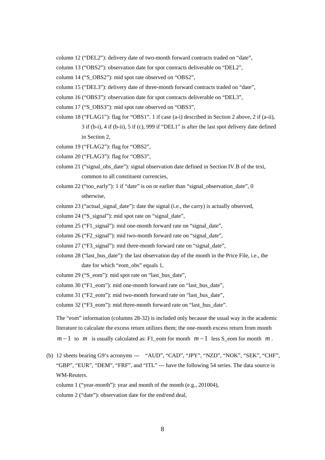column 12 ("DEL2"): delivery date of two-month forward contracts traded on "date",

column 13 ("OBS2"): observation date for spot contracts deliverable on "DEL2",

column 14 ("S\_OBS2"): mid spot rate observed on "OBS2",

column 15 ("DEL3"): delivery date of three-month forward contracts traded on "date",

column 16 ("OBS3"): observation date for spot contracts deliverable on "DEL3",

column 17 ("S\_OBS3"): mid spot rate observed on "OBS3",

column 18 ("FLAG1"): flag for "OBS1". 1 if case  $(a-i)$  described in Section 2 above, 2 if  $(a-i)$ , 3 if (b-i), 4 if (b-ii), 5 if (c), 999 if "DEL1" is after the last spot delivery date defined in Section 2,

column 19 ("FLAG2"): flag for "OBS2",

column 20 ("FLAG3"): flag for "OBS3",

column 21 ("signal\_obs\_date"): signal observation date defined in Section IV.B of the text, common to all constituent currencies,

column 22 ("too\_early"): 1 if "date" is on or earlier than "signal\_observation\_date", 0 otherwise,

column 23 ("actual\_signal\_date"): date the signal (i.e., the carry) is actually observed,

column 24 ("S\_signal"): mid spot rate on "signal\_date",

column 25 ("F1\_signal"): mid one-month forward rate on "signal\_date",

column 26 ("F2\_signal"): mid two-month forward rate on "signal\_date",

- column 27 ("F3\_signal"): mid three-month forward rate on "signal\_date",
- column 28 ("last bus date"): the last observation day of the month in the Price File, i.e., the date for which "eom\_obs" equals 1,

column 29 ("S\_eom"): mid spot rate on "last\_bus\_date",

column 30 ("F1\_eom"): mid one-month forward rate on "last bus\_date",

column 31 ("F2\_eom"): mid two-month forward rate on "last\_bus\_date",

column 32 ("F3\_eom"): mid three-month forward rate on "last\_bus\_date".

The "eom" information (columns 28-32) is included only because the usual way in the academic literature to calculate the excess return utilizes them; the one-month excess return from month  $m-1$  to *m* is usually calculated as: F1\_eom for month  $m-1$  less S\_eom for month *m* .

(b) 12 sheets bearing G9's acronyms --- "AUD", "CAD", "JPY", "NZD", "NOK", "SEK", "CHF", "GBP", "EUR", "DEM", "FRF", and "ITL" --- have the following 54 series. The data source is WM-Reuters.

column 1 ("year-month"): year and month of the month (e.g., 201004), column 2 ("date"): observation date for the end/end deal,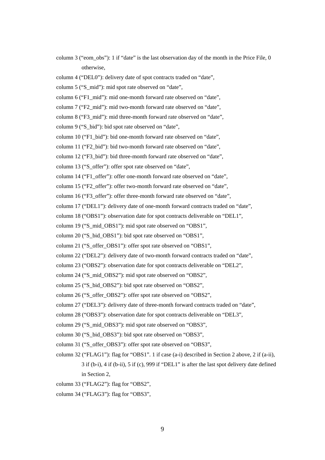- column 3 ("eom\_obs"): 1 if "date" is the last observation day of the month in the Price File, 0 otherwise,
- column 4 ("DEL0"): delivery date of spot contracts traded on "date",
- column 5 ("S\_mid"): mid spot rate observed on "date",
- column 6 ("F1\_mid"): mid one-month forward rate observed on "date",
- column 7 ("F2\_mid"): mid two-month forward rate observed on "date",
- column 8 ("F3\_mid"): mid three-month forward rate observed on "date",
- column 9 ("S\_bid"): bid spot rate observed on "date",
- column 10 ("F1 bid"): bid one-month forward rate observed on "date",
- column 11 ("F2\_bid"): bid two-month forward rate observed on "date",
- column 12 ("F3\_bid"): bid three-month forward rate observed on "date",
- column 13 ("S\_offer"): offer spot rate observed on "date",
- column 14 ("F1\_offer"): offer one-month forward rate observed on "date",
- column 15 ("F2\_offer"): offer two-month forward rate observed on "date",
- column 16 ("F3\_offer"): offer three-month forward rate observed on "date",
- column 17 ("DEL1"): delivery date of one-month forward contracts traded on "date",
- column 18 ("OBS1"): observation date for spot contracts deliverable on "DEL1",
- column 19 ("S\_mid\_OBS1"): mid spot rate observed on "OBS1",
- column 20 ("S\_bid\_OBS1"): bid spot rate observed on "OBS1",
- column 21 ("S\_offer\_OBS1"): offer spot rate observed on "OBS1",
- column 22 ("DEL2"): delivery date of two-month forward contracts traded on "date",
- column 23 ("OBS2"): observation date for spot contracts deliverable on "DEL2",
- column 24 ("S\_mid\_OBS2"): mid spot rate observed on "OBS2",
- column 25 ("S\_bid\_OBS2"): bid spot rate observed on "OBS2",
- column 26 ("S\_offer\_OBS2"): offer spot rate observed on "OBS2",
- column 27 ("DEL3"): delivery date of three-month forward contracts traded on "date",
- column 28 ("OBS3"): observation date for spot contracts deliverable on "DEL3",
- column 29 ("S\_mid\_OBS3"): mid spot rate observed on "OBS3",
- column 30 ("S\_bid\_OBS3"): bid spot rate observed on "OBS3",
- column 31 ("S\_offer\_OBS3"): offer spot rate observed on "OBS3",
- column 32 ("FLAG1"): flag for "OBS1". 1 if case (a-i) described in Section 2 above, 2 if (a-ii), 3 if (b-i), 4 if (b-ii), 5 if (c), 999 if "DEL1" is after the last spot delivery date defined in Section 2,
- column 33 ("FLAG2"): flag for "OBS2",
- column 34 ("FLAG3"): flag for "OBS3",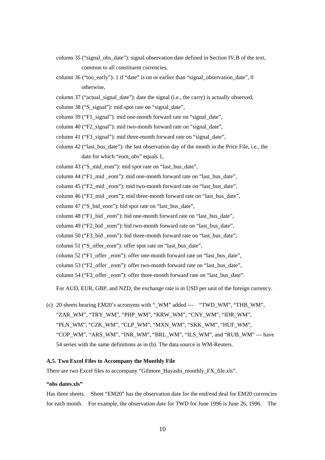- column 35 ("signal\_obs\_date"): signal observation date defined in Section IV.B of the text, common to all constituent currencies,
- column 36 ("too\_early"): 1 if "date" is on or earlier than "signal\_observation\_date", 0 otherwise,
- column 37 ("actual\_signal\_date"): date the signal (i.e., the carry) is actually observed,
- column 38 ("S\_signal"): mid spot rate on "signal\_date",
- column 39 ("F1\_signal"): mid one-month forward rate on "signal\_date",
- column 40 ("F2\_signal"): mid two-month forward rate on "signal\_date",
- column 41 ("F3 signal"): mid three-month forward rate on "signal date",
- column 42 ("last bus date"): the last observation day of the month in the Price File, i.e., the date for which "eom\_obs" equals 1,
- column 43 ("S\_mid\_eom"): mid spot rate on "last\_bus\_date",
- column 44 ("F1\_mid \_eom"): mid one-month forward rate on "last\_bus\_date",

column 45 ("F2\_mid \_eom"): mid two-month forward rate on "last\_bus\_date",

- column 46 ("F3\_mid \_eom"): mid three-month forward rate on "last \_bus\_date",
- column 47 ("S\_bid\_eom"): bid spot rate on "last\_bus\_date",
- column 48 ("F1 bid eom"): bid one-month forward rate on "last bus date",
- column 49 ("F2\_bid \_eom"): bid two-month forward rate on "last\_bus\_date",
- column 50 ("F3\_bid \_eom"): bid three-month forward rate on "last\_bus\_date",
- column 51 ("S\_offer\_eom"): offer spot rate on "last\_bus\_date",
- column 52 ("F1\_offer \_eom"): offer one-month forward rate on "last \_bus\_date",
- column 53 ("F2\_offer \_eom"): offer two-month forward rate on "last\_bus\_date",
- column 54 ("F3\_offer \_eom"): offer three-month forward rate on "last\_bus\_date".

For AUD, EUR, GBP, and NZD, the exchange rate is in USD per unit of the foreign currency.

(c) 20 sheets bearing EM20's acronyms with " $WM$ " added --- "TWD WM", "THB WM", "ZAR\_WM", "TRY\_WM", "PHP\_WM", "KRW\_WM", "CNY\_WM", "IDR\_WM", "PLN\_WM", "CZK\_WM", "CLP\_WM", "MXN\_WM", "SKK\_WM", "HUF\_WM", "COP\_WM", "ARS\_WM", "INR\_WM", "BRL\_WM", "ILS\_WM", and "RUB\_WM" --- have 54 series with the same definitions as in (b). The data source is WM-Reuters.

### **A.5. Two Excel Files to Accompany the Monthly File**

There are two Excel files to accompany "Gilmore\_Hayashi\_monthly\_FX\_file.xls".

### **"obs dates.xls"**

Has three sheets. Sheet "EM20" has the observation date for the end/end deal for EM20 currencies for each month. For example, the observation date for TWD for June 1996 is June 26, 1996. The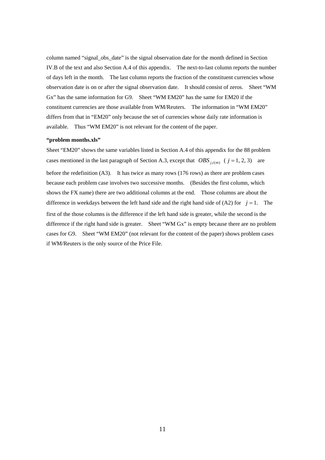column named "signal\_obs\_date" is the signal observation date for the month defined in Section IV.B of the text and also Section A.4 of this appendix. The next-to-last column reports the number of days left in the month. The last column reports the fraction of the constituent currencies whose observation date is on or after the signal observation date. It should consist of zeros. Sheet "WM Gx" has the same information for G9. Sheet "WM EM20" has the same for EM20 if the constituent currencies are those available from WM/Reuters. The information in "WM EM20" differs from that in "EM20" only because the set of currencies whose daily rate information is available. Thus "WM EM20" is not relevant for the content of the paper.

### **"problem months.xls"**

Sheet "EM20" shows the same variables listed in Section A.4 of this appendix for the 88 problem cases mentioned in the last paragraph of Section A.3, except that  $\overrightarrow{OBS}_{i,t(m)}$  ( $j = 1, 2, 3$ ) are before the redefinition (A3). It has twice as many rows (176 rows) as there are problem cases because each problem case involves two successive months. (Besides the first column, which shows the FX name) there are two additional columns at the end. Those columns are about the difference in weekdays between the left hand side and the right hand side of  $(A2)$  for  $j = 1$ . The first of the those columns is the difference if the left hand side is greater, while the second is the difference if the right hand side is greater. Sheet "WM Gx" is empty because there are no problem cases for G9. Sheet "WM EM20" (not relevant for the content of the paper) shows problem cases if WM/Reuters is the only source of the Price File.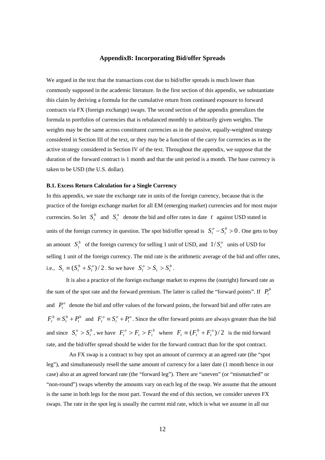### **AppendixB: Incorporating Bid/offer Spreads**

We argued in the text that the transactions cost due to bid/offer spreads is much lower than commonly supposed in the academic literature. In the first section of this appendix, we substantiate this claim by deriving a formula for the cumulative return from continued exposure to forward contracts via FX (foreign exchange) swaps. The second section of the appendix generalizes the formula to portfolios of currencies that is rebalanced monthly to arbitrarily given weights. The weights may be the same across constituent currencies as in the passive, equally-weighted strategy considered in Section III of the text, or they may be a function of the carry for currencies as in the active strategy considered in Section IV of the text. Throughout the appendix, we suppose that the duration of the forward contract is 1 month and that the unit period is a month. The base currency is taken to be USD (the U.S. dollar).

#### **B.1. Excess Return Calculation for a Single Currency**

In this appendix, we state the exchange rate in units of the foreign currency, because that is the practice of the foreign exchange market for all EM (emerging market) currencies and for most major currencies. So let  $S_t^b$  and  $S_t^o$  denote the bid and offer rates in date t against USD stated in units of the foreign currency in question. The spot bid/offer spread is  $S_t^o - S_t^b > 0$ . One gets to buy an amount  $S_t^b$  of the foreign currency for selling 1 unit of USD, and  $1/S_t^o$  units of USD for selling 1 unit of the foreign currency. The mid rate is the arithmetic average of the bid and offer rates, i.e.,  $S_t = (S_t^b + S_t^o)/2$ . So we have  $S_t^o > S_t > S_t^b$ .  $S_t^o > S_t > S$ 

It is also a practice of the foreign exchange market to express the (outright) forward rate as the sum of the spot rate and the forward premium. The latter is called the "forward points". If  $P_t^b$ and  $P_t^o$  denote the bid and offer values of the forward points, the forward bid and offer rates are  $\equiv S_t^b + P_t^b$  and  $F_t^o \equiv S_t^o + P_t^o$ . Since the offer forward points are always greater than the bid and since  $S_t^o > S_t^b$ , we have  $F_t^o > F_t > F_t^b$  where  $F_t \equiv (F_t^b + F_t^o)/2$  is the mid forward rate, and the bid/offer spread should be wider for the forward contract than for the spot contract. *t*  $F_t^b \equiv S_t^b + P_t^b$  and  $F_t^o \equiv S_t^o + P_t^o$ *t o t*  $F_t^o \equiv S_t^o + P_t$  $F_t \equiv (F_t^b + F$ 

An FX swap is a contract to buy spot an amount of currency at an agreed rate (the "spot leg"), and simultaneously resell the same amount of currency for a later date (1 month hence in our case) also at an agreed forward rate (the "forward leg"). There are "uneven" (or "mismatched" or "non-round") swaps whereby the amounts vary on each leg of the swap. We assume that the amount is the same in both legs for the most part. Toward the end of this section, we consider uneven FX swaps. The rate in the spot leg is usually the current mid rate, which is what we assume in all our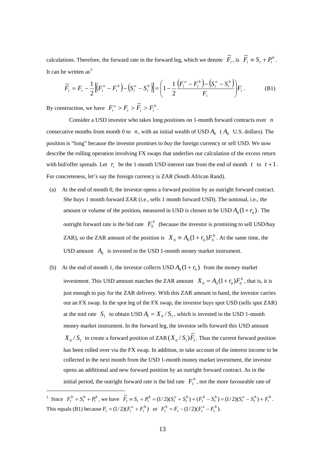calculations. Therefore, the forward rate in the forward leg, which we denote  $\tilde{F}_t$ , is  $\tilde{F}_t = S_t + P_t^b$ . It can be written as $3$ 

$$
\widetilde{F}_t = F_t - \frac{1}{2} \Big[ \Big( F_t^o - F_t^b \Big) - \Big( S_t^o - S_t^b \Big) \Big] = \left( 1 - \frac{1}{2} \frac{\Big( F_t^o - F_t^b \Big) - \Big( S_t^o - S_t^b \Big)}{F_t} \right) F_t. \tag{B1}
$$

By construction, we have  $F_t^o > F_t > \widetilde{F}_t > F_t^b$  $F_t^o > F_t > \tilde{F}_t > F_t^b$ .

 Consider a USD investor who takes long positions on 1-month forward contracts over *n* consecutive months from month 0 to  $n$ , with an initial wealth of USD  $A_0$  ( $A_0$  U.S. dollars). The position is "long" because the investor promises to *buy* the foreign currency or sell USD. We now describe the rolling operation involving FX swaps that underlies our calculation of the excess return with bid/offer spreads. Let  $r_t$  be the 1-month USD interest rate from the end of month t to  $t + 1$ . For concreteness, let's say the foreign currency is ZAR (South African Rand).

- (a) At the end of month 0, the investor opens a forward position by an outright forward contract. She buys 1 month forward ZAR (i.e., sells 1 month forward USD). The notional, i.e., the amount or volume of the position, measured in USD is chosen to be USD  $A_0(1 + r_0)$ . The outright forward rate is the bid rate  $F_0^b$  (because the investor is promising to sell USD/buy ZAR), so the ZAR amount of the position is  $X_0 \equiv A_0(1 + r_0)F_0^b$ . At the same time, the USD amount  $A_0$  is invested in the USD 1-month money market instrument.
- (b) At the end of month 1, the investor collects USD  $A_0(1 + r_0)$  from the money market investment. This USD amount matches the ZAR amount  $X_0 = A_0(1 + r_0)F_0^b$ , that is, it is just enough to pay for the ZAR delivery. With this ZAR amount in hand, the investor carries out an FX swap. In the spot leg of the FX swap, the investor buys spot USD (sells spot ZAR) at the mid rate  $S_1$  to obtain USD  $A_1 = X_0 / S_1$ , which is invested in the USD 1-month money market instrument. In the forward leg, the investor sells forward this USD amount  $X_0 / S_1$  to create a forward position of ZAR  $(X_0 / S_1) \widetilde{F}_1$ . Thus the current forward position initial period, the outright forward rate is the bid rate  $F_1^b$ , not the more favourable rate of has been rolled over via the FX swap. In addition, to take account of the interest income to be collected in the next month from the USD 1-month money market investment, the investor opens an additional and new forward position by an outright forward contract. As in the

<span id="page-63-0"></span><sup>3</sup> Since  $F_t^b = S_t^b + P_t^b$ , we have  $\tilde{F}_t = S_t + P_t^b = (1/2)(S_t^o + S_t^b) + (F_t^b - S_t^b) = (1/2)(S_t^o - S_t^b) + F_t^b$ . This equals (B1) because  $F_t = (1/2)(F_t^o + F_t^b)$  or  $F_t^b = F_t - (1/2)(F_t^o - F_t^b)$ .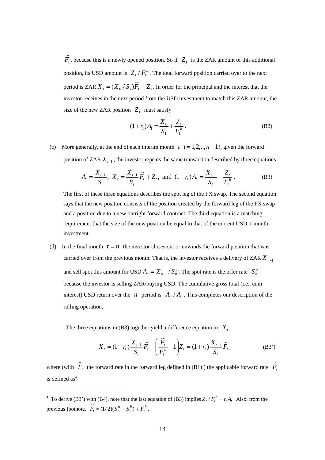1  $\widetilde{F}_1$ , because this is a newly opened position. So if  $Z_1$  is the ZAR amount of this additional position, its USD amount is  $Z_1 / F_1^b$ . The total forward position carried over to the next period is ZAR  $X_1 = (X_0 / S_1)F_1 + Z_1$ . In order for the principal and the interest that the investor receives in the next period from the USD investment to match this ZAR amount, the size of the new ZAR position  $Z_1$  must satisfy

$$
(1+r_1)A_1 = \frac{X_0}{S_1} + \frac{Z_1}{F_1^b}.
$$
 (B2)

(c) More generally, at the end of each interim month  $t (=1,2,..,n-1)$ , given the forward position of ZAR  $X_{t-1}$ , the investor repeats the same transaction described by three equations

$$
A_{t} = \frac{X_{t-1}}{S_{t}}, \ X_{t} = \frac{X_{t-1}}{S_{t}}\widetilde{F}_{t} + Z_{t}, \text{ and } (1 + r_{t})A_{t} = \frac{X_{t-1}}{S_{t}} + \frac{Z_{t}}{F_{t}^{b}}.
$$
 (B3)

The first of these three equations describes the spot leg of the FX swap. The second equation requirement that the size of the new position be equal to that of the current USD 1-month says that the new position consists of the position created by the forward leg of the FX swap and a position due to a new outright forward contract. The third equation is a matching investment.

(d) In the final month  $t = n$ , the investor closes out or unwinds the forward position that was because the investor is selling ZAR/buying USD. The cumulative gross total (i.e., cum carried over from the previous month. That is, the investor receives a delivery of ZAR  $X_{n-1}$ and sell spot this amount for USD  $A_n = X_{n-1} / S_n^{\circ}$ . The spot rate is the offer rate  $S_n^{\circ}$ interest) USD return over the *n* period is  $A_n / A_0$ . This completes our description of the rolling operation.

The three equations in (B3) together yield a difference equation in  $X_t$ :

$$
X_{t} = (1 + r_{t}) \frac{X_{t-1}}{S_{t}} \widetilde{F}_{t} - \left(\frac{\widetilde{F}_{t}}{F_{t}^{b}} - 1\right) Z_{t} = (1 + r_{t}) \frac{X_{t-1}}{S_{t}} \widehat{F}_{t},
$$
 (B3')

where (with  $\tilde{F}_t$  the forward rate in the forward leg defined in (B1)) the applicable forward rate  $\hat{F}_t$ is defined as<sup>4</sup>

<sup>4</sup> To derive (B3') with (B4), note that the last equation of (B3) implies  $Z_t / F_t^b = r_t A_t$ . Also, from the previous footnote,  $\tilde{F}_t = (1/2)(S_t^o - S_t^b) + F_t^b$ .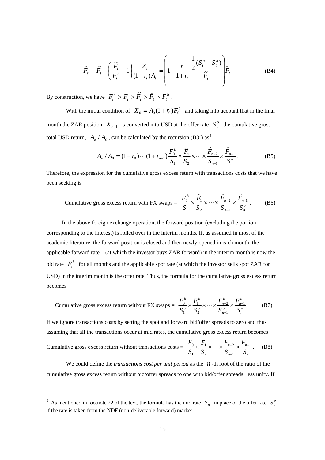$$
\hat{F}_t = \widetilde{F}_t - \left(\frac{\widetilde{F}_t}{F_t^b} - 1\right) \frac{Z_t}{(1 + r_t)A_t} = \left(1 - \frac{r_t}{1 + r_t} \frac{\frac{1}{2}(S_t^o - S_t^b)}{\widetilde{F}_t}\right) \widetilde{F}_t.
$$
\n(B4)

By construction, we have  $F_t^o > F_t > \tilde{F}_t > \tilde{F}_t > F_t^b$  $F_t^o > F_t > \tilde{F}_t > \hat{F}_t > F_t^b$ .

With the initial condition of  $X_0 = A_0(1 + r_0)F_0^b$  and taking into account that in the final month the ZAR position  $X_{n-1}$  is converted into USD at the offer rate  $S_n^o$ , the cumulative gross total USD return,  $A_n / A_0$ , can be calculated by the recursion (B3') as<sup>[5](#page-65-0)</sup>

$$
A_n / A_0 = (1 + r_0) \cdots (1 + r_{n-1}) \frac{F_0^b}{S_1} \times \frac{\hat{F}_1}{S_2} \times \cdots \times \frac{\hat{F}_{n-2}}{S_{n-1}} \times \frac{\hat{F}_{n-1}}{S_n^o}.
$$
 (B5)

Therefore, the expression for the cumulative gross excess return with transactions costs that we have been seeking is

Cumulative gross excess return with FX swaps = 
$$
\frac{F_0^b}{S_1} \times \frac{\hat{F}_1}{S_2} \times \dots \times \frac{\hat{F}_{n-2}}{S_{n-1}} \times \frac{\hat{F}_{n-1}}{S_n^o}.
$$
 (B6)

In the above foreign exchange operation, the forward position (excluding the portion corresponding to the interest) is rolled over in the interim months. If, as assumed in most of the academic literature, the forward position is closed and then newly opened in each month, the applicable forward rate (at which the investor buys ZAR forward) in the interim month is now the bid rate  $F_t^b$  for all months and the applicable spot rate (at which the investor sells spot ZAR for USD) in the interim month is the offer rate. Thus, the formula for the cumulative gross excess return becomes

Cumulative gross excess return without FX swaps = 
$$
\frac{F_0^b}{S_1^o} \times \frac{F_1^b}{S_2^o} \times \dots \times \frac{F_{n-2}^b}{S_{n-1}^o} \times \frac{F_{n-1}^b}{S_n^o}.
$$
 (B7)

If we ignore transactions costs by setting the spot and forward bid/offer spreads to zero and thus assuming that all the transactions occur at mid rates, the cumulative gross excess return becomes

Cumulative gross excess return without transactions costs = 
$$
\frac{F_0}{S_1} \times \frac{F_1}{S_2} \times \dots \times \frac{F_{n-2}}{S_{n-1}} \times \frac{F_{n-1}}{S_n}.
$$
 (B8)

We could define the *transactions cost per unit period* as the *n* -th root of the ratio of the cumulative gross excess return without bid/offer spreads to one with bid/offer spreads, less unity. If

<span id="page-65-0"></span> $\frac{1}{5}$ As mentioned in footnote 22 of the text, the formula has the mid rate  $S_n$  in place of the offer rate  $S_n^c$ if the rate is taken from the NDF (non-deliverable forward) market.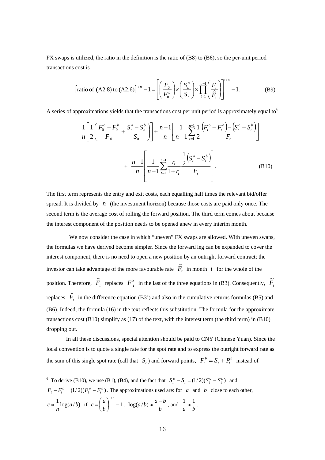$FX$  swaps is utilized, the ratio in the definition is the ratio of  $(B8)$  to  $(B6)$ , so the per-unit period transactions cost is

[ratio of (A2.8) to (A2.6)]<sup>1/n</sup> - 1 = 
$$
\left[ \left( \frac{F_0}{F_0^b} \right) \times \left( \frac{S_n^o}{S_n} \right) \times \prod_{t=1}^{n-1} \left( \frac{F_t}{\hat{F}_t} \right) \right]^{1/n} - 1.
$$
 (B9)

A series of approximations yields that the transactions cost per unit period is approximately equal to  $<sup>6</sup>$ </sup>

$$
\frac{1}{n} \left[ \frac{1}{2} \left( \frac{F_0^o - F_0^b}{F_0} + \frac{S_n^o - S_n^b}{S_n} \right) \right] + \frac{n-1}{n} \left[ \frac{1}{n-1} \sum_{t=1}^{n-1} \frac{1}{2} \frac{\left( F_t^o - F_t^b \right) - \left( S_t^o - S_t^b \right)}{F_t} \right] + \frac{n-1}{n} \left[ \frac{1}{n-1} \sum_{t=1}^{n-1} \frac{r_t}{1+r_t} \frac{1}{2} \left( S_t^o - S_t^b \right) \right].
$$
\n(B10)

The first term represents the entry and exit costs, each equalling half times the relevant bid/offer spread. It is divided by  $n$  (the investment horizon) because those costs are paid only once. The second term is the average cost of rolling the forward position. The third term comes about because the interest component of the position needs to be opened anew in every interim month.

We now consider the case in which "uneven" FX swaps are allowed. With uneven swaps, the formulas we have derived become simpler. Since the forward leg can be expanded to cover the interest component, there is no need to open a new position by an outright forward contract; the investor can take advantage of the more favourable rate  $\tilde{F}_t$  in month  $t$  for the whole of the position. Therefore,  $\tilde{F}_t$  replaces  $F_t^b$  in the last of the three equations in (B3). Consequently,  $\tilde{F}_t$ replaces  $\hat{F}_t$  in the difference equation (B3') and also in the cumulative returns formulas (B5) and  $(B6)$ . Indeed, the formula  $(16)$  in the text reflects this substitution. The formula for the approximate dropping out. transactions cost (B10) simplify as (17) of the text, with the interest term (the third term) in (B10)

In all these discussions, special attention should be paid to CNY (Chinese Yuan). Since the local convention is to quote a single rate for the spot rate and to express the outright forward rate as the sum of this single spot rate (call that  $S_t$ ) and forward points,  $F_t^b = S_t + P_t^b$  instead of *tt*  $F_t^b = S_t + P_t$ 

<sup>6</sup> To derive (B10), we use (B1), (B4), and the fact that  $S_t^o - S_t = (1/2)(S_t^o - S_t^b)$  and  $F_t - F_t^b = (1/2)(F_t^o - F_t^b)$ . The approximations used are: for a and b close to each other,  $\frac{1}{2}$ log(*a*/*b*) *n*  $c \approx -\log(a/b)$  if  $c \equiv \left| \frac{a}{b} \right| -1$ /1  $\left(\frac{a}{b}\right)^{1/n}$ l  $=\left(\frac{a}{b}\right)^{1/n}$ *b*  $c \equiv \left(\frac{a}{b}\right)^{1/n} - 1$ ,  $\log(a/b) \approx \frac{a-b}{b}$ , and  $\frac{1}{a} \approx \frac{1}{b}$ .

<u>.</u>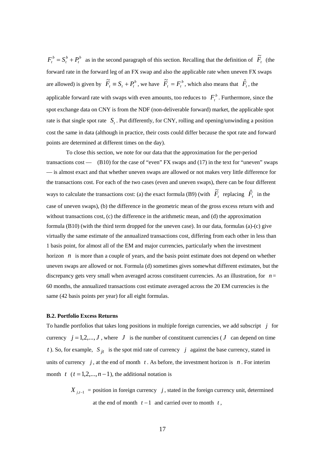*b t b t*  $F_t^b = S_t^b + P_t^b$  as in the second paragraph of this section. Recalling that the definition of  $\tilde{F}_t$  (the forward rate in the forward leg of an FX swap and also the applicable rate when uneven FX swaps are allowed) is given by  $\tilde{F}_t = S_t + P_t^b$ , we have  $\tilde{F}_t = F_t^b$ , which also means that  $\hat{F}_t$ , the applicable forward rate with swaps with even amounts, too reduces to  $F_t^b$ . Furthermore, since the spot exchange data on CNY is from the NDF (non-deliverable forward) market, the applicable spot rate is that single spot rate  $S_t$ . Put differently, for CNY, rolling and opening/unwinding a position cost the same in data (although in practice, their costs could differ because the spot rate and forward points are determined at different times on the day).

To close this section, we note for our data that the approximation for the per-period transactions cost  $\qquad$  (B10) for the case of "even" FX swaps and (17) in the text for "uneven" swaps — is almost exact and that whether uneven swaps are allowed or not makes very little difference for the transactions cost. For each of the two cases (even and uneven swaps), there can be four different ways to calculate the transactions cost: (a) the exact formula (B9) (with  $\tilde{F}_t$  replacing  $\hat{F}_t$  in the case of uneven swaps), (b) the difference in the geometric mean of the gross excess return with and uneven swaps are allowed or not. Formula (d) sometimes gives somewhat different estimates, but the 1 basis point, for almost all of the EM and major currencies, particularly when the investment without transactions cost, (c) the difference in the arithmetic mean, and (d) the approximation formula (B10) (with the third term dropped for the uneven case). In our data, formulas (a)-(c) give virtually the same estimate of the annualized transactions cost, differing from each other in less than horizon  $n_i$  is more than a couple of years, and the basis point estimate does not depend on whether discrepancy gets very small when averaged across constituent currencies. As an illustration, for  $n =$ 60 months, the annualized transactions cost estimate averaged across the 20 EM currencies is the same (42 basis points per year) for all eight formulas.

### **B.2. Portfolio Excess Returns**

To handle portfolios that takes long positions in multiple foreign currencies, we add subscript *j* for currency  $j = 1, 2, ..., J$ , where *J* is the number of constituent currencies (*J* can depend on time *t*). So, for example,  $S_{it}$  is the spot mid rate of currency *j* against the base currency, stated in units of currency  $j$ , at the end of month  $t$ . As before, the investment horizon is  $n$ . For interim month  $t \ (t = 1, 2, \ldots, n-1)$ , the additional notation is

> $X_{j,t-1}$  = position in foreign currency  $j$ , stated in the foreign currency unit, determined at the end of month  $t-1$  and carried over to month  $t$ ,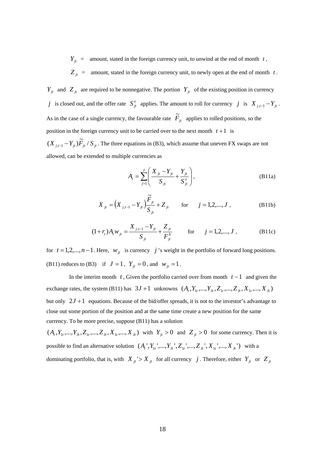$Y_{jt}$  = amount, stated in the foreign currency unit, to unwind at the end of month *t*,  $Z_{it}$  = amount, stated in the foreign currency unit, to newly open at the end of month t.

 $Y_{jt}$  and  $Z_{jt}$  are required to be nonnegative. The portion  $Y_{jt}$  of the existing position in currency *j* is closed out, and the offer rate  $S_{it}^o$  applies. The amount to roll for currency *j* is  $X_{j,t-1} - Y_{jt}$ . As in the case of a single currency, the favourable rate  $\widetilde{F}_{it}$  applies to rolled positions, so the position in the foreign currency unit to be carried over to the next month  $t + 1$  is  $(X_{j,t-1} - Y_{jt})\widetilde{F}_{jt}$  /  $S_{jt}$ . The three equations in (B3), which assume that uneven FX swaps are not allowed, can be extended to multiple currencies as

$$
A_{t} = \sum_{j=1}^{J} \left( \frac{X_{jt} - Y_{jt}}{S_{jt}} + \frac{Y_{jt}}{S_{jt}^{o}} \right),
$$
 (B11a)

$$
X_{j_t} = \left(X_{j,t-1} - Y_{jt}\right) \frac{\widetilde{F}_{jt}}{S_{jt}} + Z_{jt} \quad \text{for} \quad j = 1,2,...,J \,, \tag{B11b}
$$

$$
(1+r_t)A_t w_{jt} = \frac{X_{j,t-1} - Y_{jt}}{S_{jt}} + \frac{Z_{jt}}{F_{jt}^b}
$$
 for  $j = 1,2,...,J$ , (B11c)

for  $t = 1, 2, ..., n-1$ . Here,  $w_{jt}$  is currency *j* 's weight in the portfolio of forward long positions. (B11) reduces to (B3) if  $J = 1$ ,  $Y_{it} = 0$ , and  $W_{it} = 1$ .

In the interim month t, Given the portfolio carried over from month  $t-1$  and given the exchange rates, the system (B11) has  $3J + 1$  unknowns  $(A_t, Y_{1t},..., Y_{Jt}, Z_{1t},..., Z_{Jt}, X_{1t},..., X_{Jt})$ close out some portion of the position and at the same time create a new position for the same currency. To be more precise, suppose  $(B11)$  has a solution but only  $2J + 1$  equations. Because of the bid/offer spreads, it is not to the investor's advantage to

 $(A_t, Y_{1t},...,Y_{Jt}, Z_{1t},...,Z_{Jt}, X_{1t},...,X_{Jt})$  with  $Y_{jt} > 0$  and  $Z_{jt} > 0$  for some currency. Then it is possible to find an alternative solution  $(A_t^*, Y_{1t}^*,..., Y_{Jt}^*, Z_{1t}^*,..., Z_{Jt}^*, X_{1t}^*,..., X_{Jt}^*)$  with a dominating portfolio, that is, with  $X_{i}$  '>  $X_{i}$  for all currency  $j$ . Therefore, either  $Y_{i}$  or  $Z_{i}$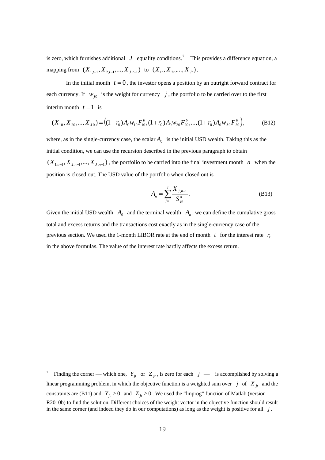is zero, which furnishes additional  $J$  equality conditions.<sup>[7](#page-69-0)</sup> This provides a difference equation, a mapping from  $(X_{1,t-1}, X_{2,t-1},..., X_{J,t-1})$  to  $(X_{1,t}, X_{2,t},...,X_{Jt})$ .

In the initial month  $t = 0$ , the investor opens a position by an outright forward contract for each currency. If  $w_{j0}$  is the weight for currency  $j$ , the portfolio to be carried over to the first interim month  $t = 1$  is

$$
(X_{10}, X_{20},..., X_{J0}) = ((1+r_0)A_0w_{10}F_{10}^b, (1+r_0)A_0w_{20}F_{20}^b,..., (1+r_0)A_0w_{J0}F_{J0}^b),
$$
(B12)

where, as in the single-currency case, the scalar  $A_0$  is the initial USD wealth. Taking this as the initial condition, we can use the recursion described in the previous paragraph to obtain position is closed out. The USD value of the portfolio when closed out is  $(X_{1,n-1}, X_{2,n-1},..., X_{J,n-1})$ , the portfolio to be carried into the final investment month *n* when the

$$
A_n = \sum_{j=1}^{J} \frac{X_{j,n-1}}{S_{jn}^o}.
$$
 (B13)

Given the initial USD wealth  $A_0$  and the terminal wealth  $A_n$ , we can define the cumulative gross in the above formulas. The value of the interest rate hardly affects the excess return. total and excess returns and the transactions cost exactly as in the single-currency case of the previous section. We used the 1-month LIBOR rate at the end of month  $t$  for the interest rate  $r<sub>i</sub>$ 

<span id="page-69-0"></span><sup>7</sup> Finding the corner — which one,  $Y_{jt}$  or  $Z_{jt}$ , is zero for each  $j$  — is accomplished by solving a linear programming problem, in which the objective function is a weighted sum over  $j$  of  $X_{jt}$  and the constraints are (B11) and  $Y_{jt} \ge 0$  and  $Z_{jt} \ge 0$ . We used the "linprog" function of Matlab (version R2010b) to find the solution. Different choices of the weight vector in the objective function should result in the same corner (and indeed they do in our computations) as long as the weight is positive for all  $j$ .